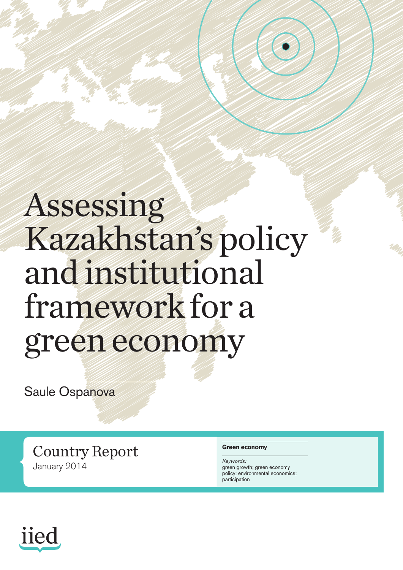## Assessing Kazakhstan's policy and institutional framework for a green economy

Saule Ospanova

Country Report January 2014

#### **Green economy**

*Keywords:* green growth; green economy policy; environmental economics; participation

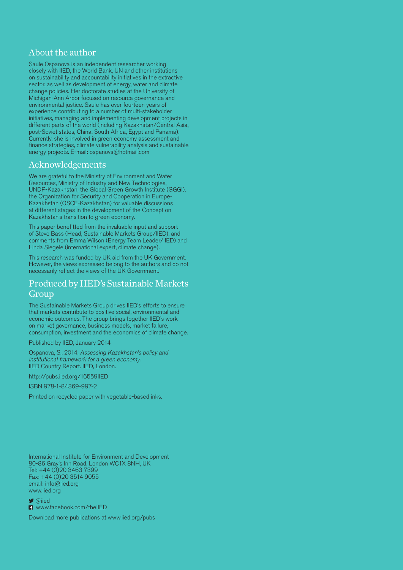#### About the author

Saule Ospanova is an independent researcher working closely with IIED, the World Bank, UN and other institutions on sustainability and accountability initiatives in the extractive sector, as well as development of energy, water and climate change policies. Her doctorate studies at the University of Michigan-Ann Arbor focused on resource governance and environmental justice. Saule has over fourteen years of experience contributing to a number of multi-stakeholder initiatives, managing and implementing development projects in different parts of the world (including Kazakhstan/Central Asia, post-Soviet states, China, South Africa, Egypt and Panama). Currently, she is involved in green economy assessment and finance strategies, climate vulnerability analysis and sustainable energy projects. E-mail: ospanovs@hotmail.com

#### Acknowledgements

We are grateful to the Ministry of Environment and Water Resources, Ministry of Industry and New Technologies, UNDP-Kazakhstan, the Global Green Growth Institute (GGGI), the Organization for Security and Cooperation in Europe-Kazakhstan (OSCE-Kazakhstan) for valuable discussions at different stages in the development of the Concept on Kazakhstan's transition to green economy.

This paper benefitted from the invaluable input and support of Steve Bass (Head, Sustainable Markets Group/IIED), and comments from Emma Wilson (Energy Team Leader/IIED) and Linda Siegele (international expert, climate change).

This research was funded by UK aid from the UK Government. However, the views expressed belong to the authors and do not necessarily reflect the views of the UK Government.

#### Produced by IIED's Sustainable Markets Group

The Sustainable Markets Group drives IIED's efforts to ensure that markets contribute to positive social, environmental and economic outcomes. The group brings together IIED's work on market governance, business models, market failure, consumption, investment and the economics of climate change.

Published by IIED, January 2014

Ospanova, S., 2014. Assessing Kazakhstan's policy and institutional framework for a green economy. IIED Country Report. IIED, London.

http://pubs.iied.org/16559IIED

ISBN 978-1-84369-997-2

Printed on recycled paper with vegetable-based inks.

International Institute for Environment and Development 80-86 Gray's Inn Road, London WC1X 8NH, UK Tel: +44 (0) 20 3463 7399 Fax: +44 (0)20 3514 9055 email: info@iied.org www.iied.org

 $\blacktriangleright$  @iied

**n** www.facebook.com/theIIED

Download more publications at www.iied.org/pubs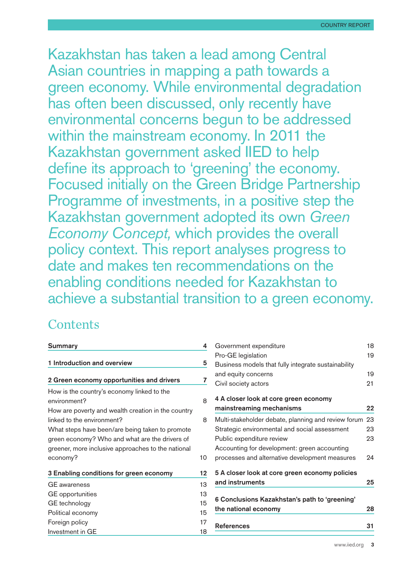Kazakhstan has taken a lead among Central Asian countries in mapping a path towards a green economy. While environmental degradation has often been discussed, only recently have environmental concerns begun to be addressed within the mainstream economy. In 2011 the Kazakhstan government asked IIED to help define its approach to 'greening' the economy. Focused initially on the Green Bridge Partnership Programme of investments, in a positive step the Kazakhstan government adopted its own *Green Economy Concept,* which provides the overall policy context. This report analyses progress to date and makes ten recommendations on the enabling conditions needed for Kazakhstan to achieve a substantial transition to a green economy.

#### **Contents**

| <b>Summary</b>                                                                                                                                          | 4              | Governmen                                 |
|---------------------------------------------------------------------------------------------------------------------------------------------------------|----------------|-------------------------------------------|
| 1 Introduction and overview                                                                                                                             | 5              | Pro-GE legi<br>Business m                 |
| 2 Green economy opportunities and drivers                                                                                                               | 7              | and equity o<br>Civil society             |
| How is the country's economy linked to the<br>environment?<br>How are poverty and wealth creation in the country                                        | 8              | 4 A closer I<br>mainstrean                |
| linked to the environment?                                                                                                                              | 8              | Multi-stakeh                              |
| What steps have been/are being taken to promote<br>green economy? Who and what are the drivers of<br>greener, more inclusive approaches to the national |                | Strategic er<br>Public expe<br>Accounting |
| economy?                                                                                                                                                | 10             | processes a                               |
| 3 Enabling conditions for green economy                                                                                                                 |                | 5 A closer I                              |
| <b>GE</b> awareness                                                                                                                                     | 13             | and instrun                               |
| <b>GE</b> opportunities<br>GE technology<br>Political economy                                                                                           | 13<br>15<br>15 | <b>6 Conclusio</b><br>the nationa         |
| Foreign policy<br>Investment in GE                                                                                                                      | 17<br>18       | <b>References</b>                         |

| 4              | Government expenditure                                 | 18 |
|----------------|--------------------------------------------------------|----|
|                | Pro-GE legislation                                     | 19 |
| $\overline{5}$ | Business models that fully integrate sustainability    |    |
|                | and equity concerns                                    | 19 |
| $\overline{ }$ | Civil society actors                                   | 21 |
| 3              | 4 A closer look at core green economy                  |    |
|                | mainstreaming mechanisms                               | 22 |
| 3              | Multi-stakeholder debate, planning and review forum 23 |    |
|                | Strategic environmental and social assessment          | 23 |
|                | Public expenditure review                              | 23 |
|                | Accounting for development: green accounting           |    |
| C              | processes and alternative development measures         | 94 |
| $\overline{a}$ | 5 A closer look at core green economy policies         |    |
| 3              | and instruments                                        | 25 |
| 3              |                                                        |    |
| 5              | 6 Conclusions Kazakhstan's path to 'greening'          |    |
| 5              | the national economy                                   | 28 |
| 7              | <b>References</b>                                      | 31 |
| 3              |                                                        |    |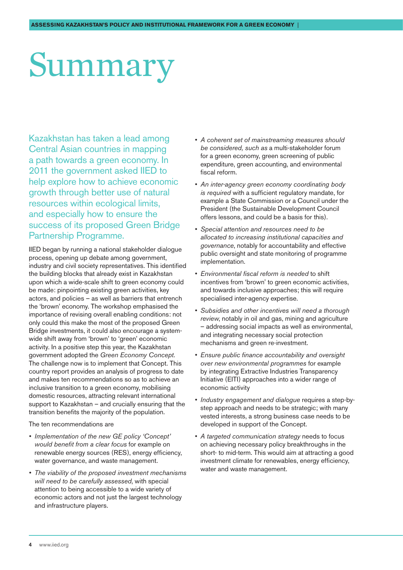# <span id="page-3-0"></span>Summary

Kazakhstan has taken a lead among Central Asian countries in mapping a path towards a green economy. In 2011 the government asked IIED to help explore how to achieve economic growth through better use of natural resources within ecological limits, and especially how to ensure the success of its proposed Green Bridge Partnership Programme.

IIED began by running a national stakeholder dialogue process, opening up debate among government, industry and civil society representatives. This identified the building blocks that already exist in Kazakhstan upon which a wide-scale shift to green economy could be made: pinpointing existing green activities, key actors, and policies – as well as barriers that entrench the 'brown' economy. The workshop emphasised the importance of revising overall enabling conditions: not only could this make the most of the proposed Green Bridge investments, it could also encourage a systemwide shift away from 'brown' to 'green' economic activity. In a positive step this year, the Kazakhstan government adopted the *Green Economy Concept*. The challenge now is to implement that Concept. This country report provides an analysis of progress to date and makes ten recommendations so as to achieve an inclusive transition to a green economy, mobilising domestic resources, attracting relevant international support to Kazakhstan – and crucially ensuring that the transition benefits the majority of the population.

#### The ten recommendations are

- *• Implementation of the new GE policy 'Concept' would benefit from a clear focus* for example on renewable energy sources (RES), energy efficiency, water governance, and waste management.
- *• The viability of the proposed investment mechanisms will need to be carefully assessed*, with special attention to being accessible to a wide variety of economic actors and not just the largest technology and infrastructure players.
- *• A coherent set of mainstreaming measures should be considered, such as* a multi-stakeholder forum for a green economy, green screening of public expenditure, green accounting, and environmental fiscal reform.
- *• An inter-agency green economy coordinating body is required* with a sufficient regulatory mandate, for example a State Commission or a Council under the President (the Sustainable Development Council offers lessons, and could be a basis for this).
- *• Special attention and resources need to be allocated to increasing institutional capacities and governance*, notably for accountability and effective public oversight and state monitoring of programme implementation.
- *• Environmental fiscal reform is needed* to shift incentives from 'brown' to green economic activities, and towards inclusive approaches; this will require specialised inter-agency expertise.
- *• Subsidies and other incentives will need a thorough review*, notably in oil and gas, mining and agriculture – addressing social impacts as well as environmental, and integrating necessary social protection mechanisms and green re-investment.
- *• Ensure public finance accountability and oversight over new environmental programmes* for example by integrating Extractive Industries Transparency Initiative (EITI) approaches into a wider range of economic activity
- *• Industry engagement and dialogue* requires a step-bystep approach and needs to be strategic; with many vested interests, a strong business case needs to be developed in support of the Concept.
- A targeted communication strategy needs to focus on achieving necessary policy breakthroughs in the short- to mid-term. This would aim at attracting a good investment climate for renewables, energy efficiency, water and waste management.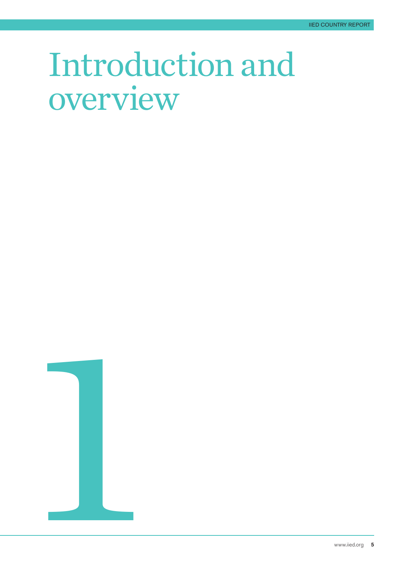## <span id="page-4-0"></span>Introduction and overview



www.iied.org 5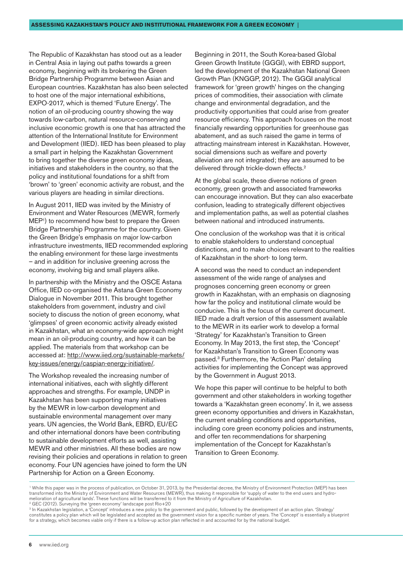The Republic of Kazakhstan has stood out as a leader in Central Asia in laying out paths towards a green economy, beginning with its brokering the Green Bridge Partnership Programme between Asian and European countries. Kazakhstan has also been selected to host one of the major international exhibitions, EXPO-2017, which is themed 'Future Energy'. The notion of an oil-producing country showing the way towards low-carbon, natural resource-conserving and inclusive economic growth is one that has attracted the attention of the International Institute for Environment and Development (IIED). IIED has been pleased to play a small part in helping the Kazakhstan Government to bring together the diverse green economy ideas, initiatives and stakeholders in the country, so that the policy and institutional foundations for a shift from 'brown' to 'green' economic activity are robust, and the various players are heading in similar directions.

In August 2011, IIED was invited by the Ministry of Environment and Water Resources (MEWR, formerly MEP1 ) to recommend how best to prepare the Green Bridge Partnership Programme for the country. Given the Green Bridge's emphasis on major low-carbon infrastructure investments, IIED recommended exploring the enabling environment for these large investments – and in addition for inclusive greening across the economy, involving big and small players alike.

In partnership with the Ministry and the OSCE Astana Office, IIED co-organised the Astana Green Economy Dialogue in November 2011. This brought together stakeholders from government, industry and civil society to discuss the notion of green economy, what 'glimpses' of green economic activity already existed in Kazakhstan, what an economy-wide approach might mean in an oil-producing country, and how it can be applied. The materials from that workshop can be accessed at: [http://www.iied.org/sustainable-markets/](http://www.iied.org/sustainable-markets/key-issues/energy/caspian-energy-initiative/) [key-issues/energy/caspian-energy-initiative/](http://www.iied.org/sustainable-markets/key-issues/energy/caspian-energy-initiative/).

The Workshop revealed the increasing number of international initiatives, each with slightly different approaches and strengths. For example, UNDP in Kazakhstan has been supporting many initiatives by the MEWR in low-carbon development and sustainable environmental management over many years. UN agencies, the World Bank, EBRD, EU/EC and other international donors have been contributing to sustainable development efforts as well, assisting MEWR and other ministries. All these bodies are now revising their policies and operations in relation to green economy. Four UN agencies have joined to form the UN Partnership for Action on a Green Economy.

Beginning in 2011, the South Korea-based Global Green Growth Institute (GGGI), with EBRD support, led the development of the Kazakhstan National Green Growth Plan (KNGGP, 2012). The GGGI analytical framework for 'green growth' hinges on the changing prices of commodities, their association with climate change and environmental degradation, and the productivity opportunities that could arise from greater resource efficiency. This approach focuses on the most financially rewarding opportunities for greenhouse gas abatement, and as such raised the game in terms of attracting mainstream interest in Kazakhstan. However, social dimensions such as welfare and poverty alleviation are not integrated; they are assumed to be delivered through trickle-down effects.<sup>2</sup>

At the global scale, these diverse notions of green economy, green growth and associated frameworks can encourage innovation. But they can also exacerbate confusion, leading to strategically different objectives and implementation paths, as well as potential clashes between national and introduced instruments.

One conclusion of the workshop was that it is critical to enable stakeholders to understand conceptual distinctions, and to make choices relevant to the realities of Kazakhstan in the short- to long term.

A second was the need to conduct an independent assessment of the wide range of analyses and prognoses concerning green economy or green growth in Kazakhstan, with an emphasis on diagnosing how far the policy and institutional climate would be conducive. This is the focus of the current document. IIED made a draft version of this assessment available to the MEWR in its earlier work to develop a formal 'Strategy' for Kazakhstan's Transition to Green Economy. In May 2013, the first step, the 'Concept' for Kazakhstan's Transition to Green Economy was passed.3 Furthermore, the 'Action Plan' detailing activities for implementing the Concept was approved by the Government in August 2013.

We hope this paper will continue to be helpful to both government and other stakeholders in working together towards a 'Kazakhstan green economy'. In it, we assess green economy opportunities and drivers in Kazakhstan, the current enabling conditions and opportunities, including core green economy policies and instruments, and offer ten recommendations for sharpening implementation of the Concept for Kazakhstan's Transition to Green Economy.

<sup>&</sup>lt;sup>1</sup> While this paper was in the process of publication, on October 31, 2013, by the Presidential decree, the Ministry of Environment Protection (MEP) has been transformed into the Ministry of Environment and Water Resources (MEWR), thus making it responsible for 'supply of water to the end users and hydromelioration of agricultural lands'. These functions will be transferred to it from the Ministry of Agriculture of Kazakhstan. 2 GEC (2012). Surveying the 'green economy' landscape post Rio+20

<sup>&</sup>lt;sup>3</sup> In Kazakhstan legislation, a 'Concept' introduces a new policy to the government and public, followed by the development of an action plan. 'Strategy' constitutes a policy plan which will be legislated and accepted as the government vision for a specific number of years. The 'Concept' is essentially a blueprint for a strategy, which becomes viable only if there is a follow-up action plan reflected in and accounted for by the national budget.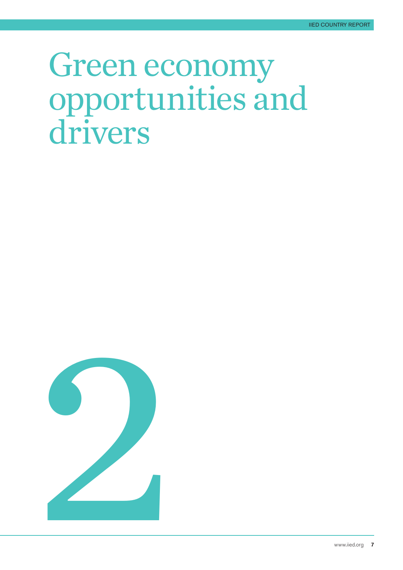## <span id="page-6-0"></span>Green economy opportunities and drivers

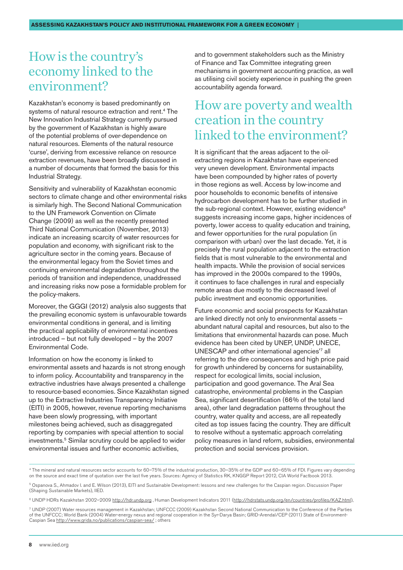### <span id="page-7-0"></span>How is the country's economy linked to the environment?

Kazakhstan's economy is based predominantly on systems of natural resource extraction and rent.<sup>4</sup> The New Innovation Industrial Strategy currently pursued by the government of Kazakhstan is highly aware of the potential problems of over-dependence on natural resources. Elements of the natural resource 'curse', deriving from excessive reliance on resource extraction revenues, have been broadly discussed in a number of documents that formed the basis for this Industrial Strategy.

Sensitivity and vulnerability of Kazakhstan economic sectors to climate change and other environmental risks is similarly high. The Second National Communication to the UN Framework Convention on Climate Change (2009) as well as the recently presented Third National Communication (November, 2013) indicate an increasing scarcity of water resources for population and economy, with significant risk to the agriculture sector in the coming years. Because of the environmental legacy from the Soviet times and continuing environmental degradation throughout the periods of transition and independence, unaddressed and increasing risks now pose a formidable problem for the policy-makers.

Moreover, the GGGI (2012) analysis also suggests that the prevailing economic system is unfavourable towards environmental conditions in general, and is limiting the practical applicability of environmental incentives introduced – but not fully developed – by the 2007 Environmental Code.

Information on how the economy is linked to environmental assets and hazards is not strong enough to inform policy. Accountability and transparency in the extractive industries have always presented a challenge to resource-based economies. Since Kazakhstan signed up to the Extractive Industries Transparency Initiative (EITI) in 2005, however, revenue reporting mechanisms have been slowly progressing, with important milestones being achieved, such as disaggregated reporting by companies with special attention to social investments.<sup>5</sup> Similar scrutiny could be applied to wider environmental issues and further economic activities,

and to government stakeholders such as the Ministry of Finance and Tax Committee integrating green mechanisms in government accounting practice, as well as utilising civil society experience in pushing the green accountability agenda forward.

## How are poverty and wealth creation in the country linked to the environment?

It is significant that the areas adjacent to the oilextracting regions in Kazakhstan have experienced very uneven development. Environmental impacts have been compounded by higher rates of poverty in those regions as well. Access by low-income and poor households to economic benefits of intensive hydrocarbon development has to be further studied in the sub-regional context. However, existing evidence<sup>6</sup> suggests increasing income gaps, higher incidences of poverty, lower access to quality education and training, and fewer opportunities for the rural population (in comparison with urban) over the last decade. Yet, it is precisely the rural population adjacent to the extraction fields that is most vulnerable to the environmental and health impacts. While the provision of social services has improved in the 2000s compared to the 1990s, it continues to face challenges in rural and especially remote areas due mostly to the decreased level of public investment and economic opportunities.

Future economic and social prospects for Kazakhstan are linked directly not only to environmental assets – abundant natural capital and resources, but also to the limitations that environmental hazards can pose. Much evidence has been cited by UNEP, UNDP, UNECE, UNESCAP and other international agencies'7 all referring to the dire consequences and high price paid for growth unhindered by concerns for sustainability, respect for ecological limits, social inclusion, participation and good governance. The Aral Sea catastrophe, environmental problems in the Caspian Sea, significant desertification (66% of the total land area), other land degradation patterns throughout the country, water quality and access, are all repeatedly cited as top issues facing the country. They are difficult to resolve without a systematic approach correlating policy measures in land reform, subsidies, environmental protection and social services provision.

<sup>4</sup> The mineral and natural resources sector accounts for 60–75% of the industrial production, 30–35% of the GDP and 60–65% of FDI. Figures vary depending on the source and exact time of quotation over the last five years. Sources: Agency of Statistics RK, KNGGP Report 2012, CIA World Factbook 2013.

<sup>5</sup> Ospanova S., Ahmadov I. and E. Wilson (2013), EITI and Sustainable Development: lessons and new challenges for the Caspian region. Discussion Paper (Shaping Sustainable Markets), IIED.

<sup>6</sup> UNDP HDRs Kazakhstan 2002–2009<http://hdr.undp.org>, Human Development Indicators 2011 [\(http://hdrstats.undp.org/en/countries/profiles/KAZ.html\)](http://hdrstats.undp.org/en/countries/profiles/KAZ.html),

<sup>7</sup> UNDP (2007) Water resources management in Kazakhstan; UNFCCC (2009) Kazakhstan Second National Communication to the Conference of the Parties of the UNFCCC; World Bank (2004) Water-energy nexus and regional cooperation in the Syr-Darya Basin; GRID-Arendal/CEP (2011) State of Environment-Caspian Sea<http://www.grida.no/publications/caspian-sea/>; others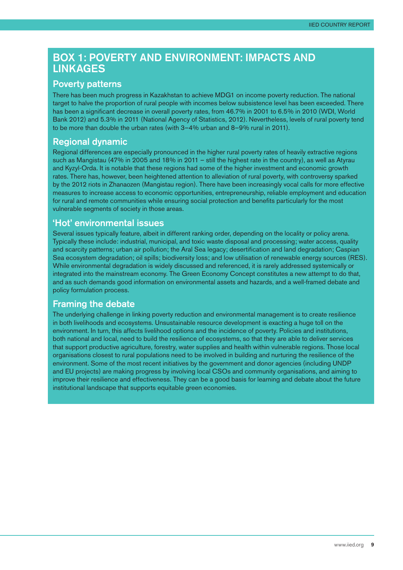#### Box 1: Poverty and Environment: impacts and **LINKAGES**

#### Poverty patterns

There has been much progress in Kazakhstan to achieve MDG1 on income poverty reduction. The national target to halve the proportion of rural people with incomes below subsistence level has been exceeded. There has been a significant decrease in overall poverty rates, from 46.7% in 2001 to 6.5% in 2010 (WDI, World Bank 2012) and 5.3% in 2011 (National Agency of Statistics, 2012). Nevertheless, levels of rural poverty tend to be more than double the urban rates (with 3–4% urban and 8–9% rural in 2011).

#### Regional dynamic

Regional differences are especially pronounced in the higher rural poverty rates of heavily extractive regions such as Mangistau (47% in 2005 and 18% in 2011 – still the highest rate in the country), as well as Atyrau and Kyzyl-Orda. It is notable that these regions had some of the higher investment and economic growth rates. There has, however, been heightened attention to alleviation of rural poverty, with controversy sparked by the 2012 riots in Zhanaozen (Mangistau region). There have been increasingly vocal calls for more effective measures to increase access to economic opportunities, entrepreneurship, reliable employment and education for rural and remote communities while ensuring social protection and benefits particularly for the most vulnerable segments of society in those areas.

#### 'Hot' environmental issues

Several issues typically feature, albeit in different ranking order, depending on the locality or policy arena. Typically these include: industrial, municipal, and toxic waste disposal and processing; water access, quality and scarcity patterns; urban air pollution; the Aral Sea legacy; desertification and land degradation; Caspian Sea ecosystem degradation; oil spills; biodiversity loss; and low utilisation of renewable energy sources (RES). While environmental degradation is widely discussed and referenced, it is rarely addressed systemically or integrated into the mainstream economy. The Green Economy Concept constitutes a new attempt to do that, and as such demands good information on environmental assets and hazards, and a well-framed debate and policy formulation process.

#### Framing the debate

The underlying challenge in linking poverty reduction and environmental management is to create resilience in both livelihoods and ecosystems. Unsustainable resource development is exacting a huge toll on the environment. In turn, this affects livelihood options and the incidence of poverty. Policies and institutions, both national and local, need to build the resilience of ecosystems, so that they are able to deliver services that support productive agriculture, forestry, water supplies and health within vulnerable regions. Those local organisations closest to rural populations need to be involved in building and nurturing the resilience of the environment. Some of the most recent initiatives by the government and donor agencies (including UNDP and EU projects) are making progress by involving local CSOs and community organisations, and aiming to improve their resilience and effectiveness. They can be a good basis for learning and debate about the future institutional landscape that supports equitable green economies.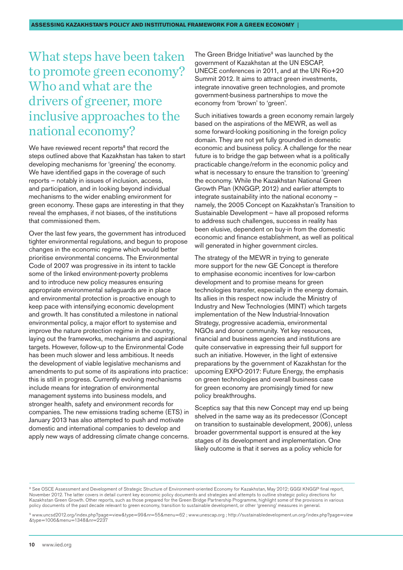## <span id="page-9-0"></span>What steps have been taken to promote green economy? Who and what are the drivers of greener, more inclusive approaches to the national economy?

We have reviewed recent reports<sup>8</sup> that record the steps outlined above that Kazakhstan has taken to start developing mechanisms for 'greening' the economy. We have identified gaps in the coverage of such reports – notably in issues of inclusion, access, and participation, and in looking beyond individual mechanisms to the wider enabling environment for green economy. These gaps are interesting in that they reveal the emphases, if not biases, of the institutions that commissioned them.

Over the last few years, the government has introduced tighter environmental regulations, and begun to propose changes in the economic regime which would better prioritise environmental concerns. The Environmental Code of 2007 was progressive in its intent to tackle some of the linked environment-poverty problems and to introduce new policy measures ensuring appropriate environmental safeguards are in place and environmental protection is proactive enough to keep pace with intensifying economic development and growth. It has constituted a milestone in national environmental policy, a major effort to systemise and improve the nature protection regime in the country, laying out the frameworks, mechanisms and aspirational targets. However, follow-up to the Environmental Code has been much slower and less ambitious. It needs the development of viable legislative mechanisms and amendments to put some of its aspirations into practice: this is still in progress. Currently evolving mechanisms include means for integration of environmental management systems into business models, and stronger health, safety and environment records for companies. The new emissions trading scheme (ETS) in January 2013 has also attempted to push and motivate domestic and international companies to develop and apply new ways of addressing climate change concerns. The Green Bridge Initiative<sup>9</sup> was launched by the government of Kazakhstan at the UN ESCAP, UNECE conferences in 2011, and at the UN Rio+20 Summit 2012. It aims to attract green investments, integrate innovative green technologies, and promote government-business partnerships to move the economy from 'brown' to 'green'.

Such initiatives towards a green economy remain largely based on the aspirations of the MEWR, as well as some forward-looking positioning in the foreign policy domain. They are not yet fully grounded in domestic economic and business policy. A challenge for the near future is to bridge the gap between what is a politically practicable change/reform in the economic policy and what is necessary to ensure the transition to 'greening' the economy. While the Kazakhstan National Green Growth Plan (KNGGP, 2012) and earlier attempts to integrate sustainability into the national economy – namely, the 2005 Concept on Kazakhstan's Transition to Sustainable Development – have all proposed reforms to address such challenges, success in reality has been elusive, dependent on buy-in from the domestic economic and finance establishment, as well as political will generated in higher government circles.

The strategy of the MEWR in trying to generate more support for the new GE Concept is therefore to emphasise economic incentives for low-carbon development and to promise means for green technologies transfer, especially in the energy domain. Its allies in this respect now include the Ministry of Industry and New Technologies (MINT) which targets implementation of the New Industrial-Innovation Strategy, progressive academia, environmental NGOs and donor community. Yet key resources, financial and business agencies and institutions are quite conservative in expressing their full support for such an initiative. However, in the light of extensive preparations by the government of Kazakhstan for the upcoming EXPO-2017: Future Energy, the emphasis on green technologies and overall business case for green economy are promisingly timed for new policy breakthroughs.

Sceptics say that this new Concept may end up being shelved in the same way as its predecessor (Concept on transition to sustainable development, 2006), unless broader governmental support is ensured at the key stages of its development and implementation. One likely outcome is that it serves as a policy vehicle for

<sup>8</sup> See OSCE Assessment and Development of Strategic Structure of Environment-oriented Economy for Kazakhstan, May 2012; GGGI KNGGP final report, November 2012. The latter covers in detail current key economic policy documents and strategies and attempts to outline strategic policy directions for Kazakhstan Green Growth. Other reports, such as those prepared for the Green Bridge Partnership Programme, highlight some of the provisions in various policy documents of the past decade relevant to green economy, transition to sustainable development, or other 'greening' measures in general.

<sup>9</sup> [www.uncsd2012.org/index.php?page=view&type=99&nr=55&menu=62](http://www.uncsd2012.org/index.php?page=view&type=99&nr=55&menu=62) ; [www.unescap.org](http://www.unescap.org) ; [http://sustainabledevelopment.un.org/index.php?page=view](http://sustainabledevelopment.un.org/index.php?page=view&type=1006&menu=1348&nr=2237) [&type=1006&menu=1348&nr=2237](http://sustainabledevelopment.un.org/index.php?page=view&type=1006&menu=1348&nr=2237)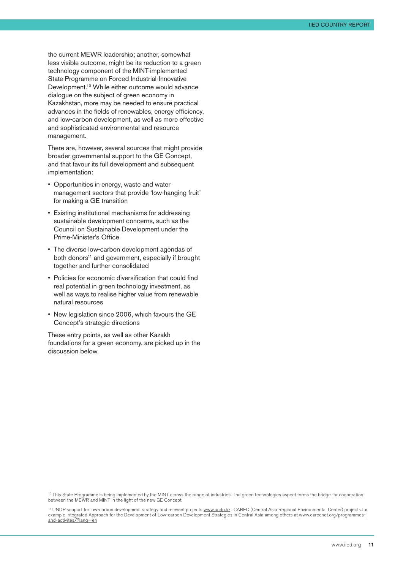the current MEWR leadership; another, somewhat less visible outcome, might be its reduction to a green technology component of the MINT-implemented State Programme on Forced Industrial-Innovative Development.<sup>10</sup> While either outcome would advance dialogue on the subject of green economy in Kazakhstan, more may be needed to ensure practical advances in the fields of renewables, energy efficiency, and low-carbon development, as well as more effective and sophisticated environmental and resource management.

There are, however, several sources that might provide broader governmental support to the GE Concept, and that favour its full development and subsequent implementation:

- Opportunities in energy, waste and water management sectors that provide 'low-hanging fruit' for making a GE transition
- Existing institutional mechanisms for addressing sustainable development concerns, such as the Council on Sustainable Development under the Prime-Minister's Office
- The diverse low-carbon development agendas of both donors<sup>11</sup> and government, especially if brought together and further consolidated
- Policies for economic diversification that could find real potential in green technology investment, as well as ways to realise higher value from renewable natural resources
- New legislation since 2006, which favours the GE Concept's strategic directions

These entry points, as well as other Kazakh foundations for a green economy, are picked up in the discussion below.

<sup>10</sup> This State Programme is being implemented by the MINT across the range of industries. The green technologies aspect forms the bridge for cooperation between the MEWR and MINT in the light of the new GE Concept.

11 UNDP support for low-carbon development strategy and relevant projects [www.undp.kz](http://www.undp.kz) , CAREC (Central Asia Regional Environmental Center) projects for example Integrated Approach for the Development of Low-carbon Development Strategies in Central Asia among others at www.carecnet.org/programmes-<br>example Integrated Approach for the Development of Low-carbon Development St [and-activites/?lang=en](http://www.carecnet.org/programmes-and-activites/?lang=en)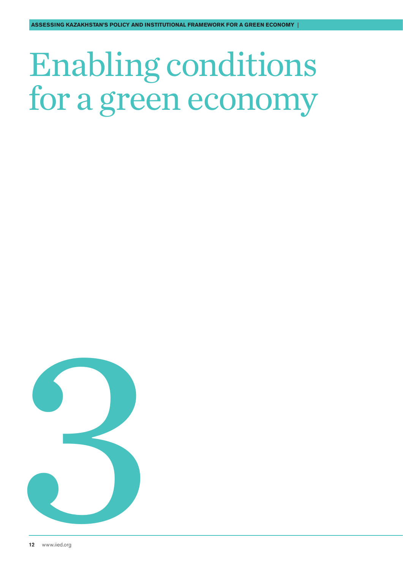# <span id="page-11-0"></span>Enabling conditions for a green economy

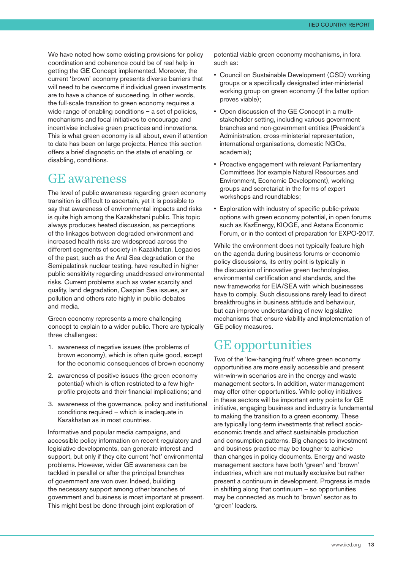<span id="page-12-0"></span>We have noted how some existing provisions for policy coordination and coherence could be of real help in getting the GE Concept implemented. Moreover, the current 'brown' economy presents diverse barriers that will need to be overcome if individual green investments are to have a chance of succeeding. In other words, the full-scale transition to green economy requires a wide range of enabling conditions – a set of policies, mechanisms and focal initiatives to encourage and incentivise inclusive green practices and innovations. This is what green economy is all about, even if attention to date has been on large projects. Hence this section offers a brief diagnostic on the state of enabling, or disabling, conditions.

#### GE awareness

The level of public awareness regarding green economy transition is difficult to ascertain, yet it is possible to say that awareness of environmental impacts and risks is quite high among the Kazakhstani public. This topic always produces heated discussion, as perceptions of the linkages between degraded environment and increased health risks are widespread across the different segments of society in Kazakhstan. Legacies of the past, such as the Aral Sea degradation or the Semipalatinsk nuclear testing, have resulted in higher public sensitivity regarding unaddressed environmental risks. Current problems such as water scarcity and quality, land degradation, Caspian Sea issues, air pollution and others rate highly in public debates and media.

Green economy represents a more challenging concept to explain to a wider public. There are typically three challenges:

- 1. awareness of negative issues (the problems of brown economy), which is often quite good, except for the economic consequences of brown economy
- 2. awareness of positive issues (the green economy potential) which is often restricted to a few highprofile projects and their financial implications; and
- 3. awareness of the governance, policy and institutional conditions required – which is inadequate in Kazakhstan as in most countries.

Informative and popular media campaigns, and accessible policy information on recent regulatory and legislative developments, can generate interest and support, but only if they cite current 'hot' environmental problems. However, wider GE awareness can be tackled in parallel or after the principal branches of government are won over. Indeed, building the necessary support among other branches of government and business is most important at present. This might best be done through joint exploration of

potential viable green economy mechanisms, in fora such as:

- Council on Sustainable Development (CSD) working groups or a specifically designated inter-ministerial working group on green economy (if the latter option proves viable);
- Open discussion of the GE Concept in a multistakeholder setting, including various government branches and non-government entities (President's Administration, cross-ministerial representation, international organisations, domestic NGOs, academia);
- Proactive engagement with relevant Parliamentary Committees (for example Natural Resources and Environment, Economic Development), working groups and secretariat in the forms of expert workshops and roundtables;
- Exploration with industry of specific public-private options with green economy potential, in open forums such as KazEnergy, KIOGE, and Astana Economic Forum, or in the context of preparation for EXPO-2017.

While the environment does not typically feature high on the agenda during business forums or economic policy discussions, its entry point is typically in the discussion of innovative green technologies, environmental certification and standards, and the new frameworks for EIA/SEA with which businesses have to comply. Such discussions rarely lead to direct breakthroughs in business attitude and behaviour, but can improve understanding of new legislative mechanisms that ensure viability and implementation of GE policy measures.

### GE opportunities

Two of the 'low-hanging fruit' where green economy opportunities are more easily accessible and present win-win-win scenarios are in the energy and waste management sectors. In addition, water management may offer other opportunities. While policy initiatives in these sectors will be important entry points for GE initiative, engaging business and industry is fundamental to making the transition to a green economy. These are typically long-term investments that reflect socioeconomic trends and affect sustainable production and consumption patterns. Big changes to investment and business practice may be tougher to achieve than changes in policy documents. Energy and waste management sectors have both 'green' and 'brown' industries, which are not mutually exclusive but rather present a continuum in development. Progress is made in shifting along that continuum – so opportunities may be connected as much to 'brown' sector as to 'green' leaders.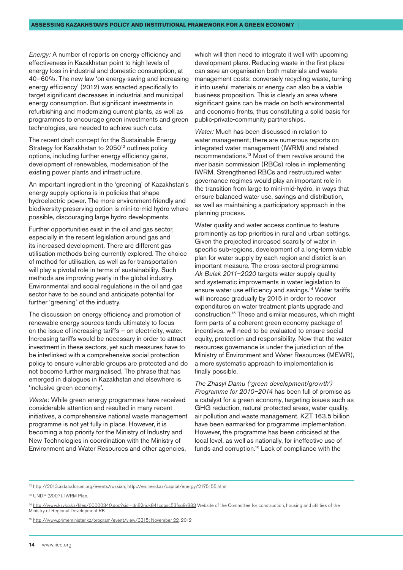*Energy:* A number of reports on energy efficiency and effectiveness in Kazakhstan point to high levels of energy loss in industrial and domestic consumption, at 40–60%. The new law 'on energy-saving and increasing energy efficiency' (2012) was enacted specifically to target significant decreases in industrial and municipal energy consumption. But significant investments in refurbishing and modernizing current plants, as well as programmes to encourage green investments and green technologies, are needed to achieve such cuts.

The recent draft concept for the Sustainable Energy Strategy for Kazakhstan to 2050<sup>12</sup> outlines policy options, including further energy efficiency gains, development of renewables, modernisation of the existing power plants and infrastructure.

An important ingredient in the 'greening' of Kazakhstan's energy supply options is in policies that shape hydroelectric power. The more environment-friendly and biodiversity-preserving option is mini-to-mid hydro where possible, discouraging large hydro developments.

Further opportunities exist in the oil and gas sector, especially in the recent legislation around gas and its increased development. There are different gas utilisation methods being currently explored. The choice of method for utilisation, as well as for transportation will play a pivotal role in terms of sustainability. Such methods are improving yearly in the global industry. Environmental and social regulations in the oil and gas sector have to be sound and anticipate potential for further 'greening' of the industry.

The discussion on energy efficiency and promotion of renewable energy sources tends ultimately to focus on the issue of increasing tariffs – on electricity, water. Increasing tariffs would be necessary in order to attract investment in these sectors, yet such measures have to be interlinked with a comprehensive social protection policy to ensure vulnerable groups are protected and do not become further marginalised. The phrase that has emerged in dialogues in Kazakhstan and elsewhere is 'inclusive green economy'.

*Waste:* While green energy programmes have received considerable attention and resulted in many recent initiatives, a comprehensive national waste management programme is not yet fully in place. However, it is becoming a top priority for the Ministry of Industry and New Technologies in coordination with the Ministry of Environment and Water Resources and other agencies,

which will then need to integrate it well with upcoming development plans. Reducing waste in the first place can save an organisation both materials and waste management costs; conversely recycling waste, turning it into useful materials or energy can also be a viable business proposition. This is clearly an area where significant gains can be made on both environmental and economic fronts, thus constituting a solid basis for public-private-community partnerships.

*Water:* Much has been discussed in relation to water management; there are numerous reports on integrated water management (IWRM) and related recommendations.13 Most of them revolve around the river basin commission (RBCs) roles in implementing IWRM. Strengthened RBCs and restructured water governance regimes would play an important role in the transition from large to mini-mid-hydro, in ways that ensure balanced water use, savings and distribution, as well as maintaining a participatory approach in the planning process.

Water quality and water access continue to feature prominently as top priorities in rural and urban settings. Given the projected increased scarcity of water in specific sub-regions, development of a long-term viable plan for water supply by each region and district is an important measure. The cross-sectoral programme *Ak Bulak 2011–2020* targets water supply quality and systematic improvements in water legislation to ensure water use efficiency and savings.14 Water tariffs will increase gradually by 2015 in order to recover expenditures on water treatment plants upgrade and construction.15 These and similar measures, which might form parts of a coherent green economy package of incentives, will need to be evaluated to ensure social equity, protection and responsibility. Now that the water resources governance is under the jurisdiction of the Ministry of Environment and Water Resources (MEWR), a more systematic approach to implementation is finally possible.

*The Zhasyl Damu ('green development/growth') Programme for 2010–2014* has been full of promise as a catalyst for a green economy, targeting issues such as GHG reduction, natural protected areas, water quality, air pollution and waste management. KZT 163.5 billion have been earmarked for programme implementation. However, the programme has been criticised at the local level, as well as nationally, for ineffective use of funds and corruption.<sup>16</sup> Lack of compliance with the

<sup>12</sup> <http://2013.astanaforum.org/events/russian>;<http://en.trend.az/capital/energy/2175155.html>

<sup>13</sup> UNDP (2007). IWRM Plan.

<sup>&</sup>lt;sup>14</sup> <http://www.kzvkp.kz/files/00000340.doc?sid=dn82rjuk841cdqsc53fsg9r883>Website of the Committee for construction, housing and utilities of the Ministry of Regional Development RK

<sup>15</sup> [http://www.primeminister.kz/program/event/view/3315; November 22](http://www.primeminister.kz/program/event/view/3315;%20November%2022), 2012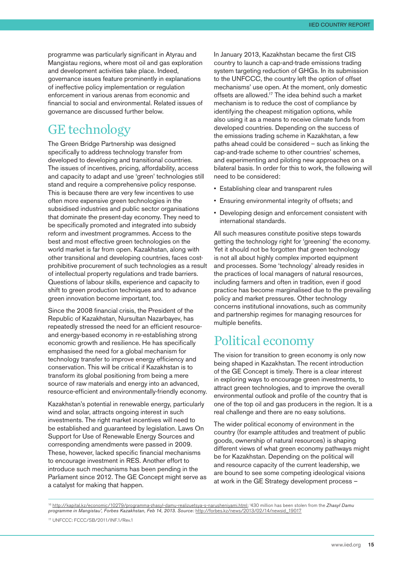<span id="page-14-0"></span>programme was particularly significant in Atyrau and Mangistau regions, where most oil and gas exploration and development activities take place. Indeed, governance issues feature prominently in explanations of ineffective policy implementation or regulation enforcement in various arenas from economic and financial to social and environmental. Related issues of governance are discussed further below.

### GE technology

The Green Bridge Partnership was designed specifically to address technology transfer from developed to developing and transitional countries. The issues of incentives, pricing, affordability, access and capacity to adapt and use 'green' technologies still stand and require a comprehensive policy response. This is because there are very few incentives to use often more expensive green technologies in the subsidised industries and public sector organisations that dominate the present-day economy. They need to be specifically promoted and integrated into subsidy reform and investment programmes. Access to the best and most effective green technologies on the world market is far from open. Kazakhstan, along with other transitional and developing countries, faces costprohibitive procurement of such technologies as a result of intellectual property regulations and trade barriers. Questions of labour skills, experience and capacity to shift to green production techniques and to advance green innovation become important, too.

Since the 2008 financial crisis, the President of the Republic of Kazakhstan, Nursultan Nazarbayev, has repeatedly stressed the need for an efficient resourceand energy-based economy in re-establishing strong economic growth and resilience. He has specifically emphasised the need for a global mechanism for technology transfer to improve energy efficiency and conservation. This will be critical if Kazakhstan is to transform its global positioning from being a mere source of raw materials and energy into an advanced, resource-efficient and environmentally-friendly economy.

Kazakhstan's potential in renewable energy, particularly wind and solar, attracts ongoing interest in such investments. The right market incentives will need to be established and guaranteed by legislation. Laws On Support for Use of Renewable Energy Sources and corresponding amendments were passed in 2009. These, however, lacked specific financial mechanisms to encourage investment in RES. Another effort to introduce such mechanisms has been pending in the Parliament since 2012. The GE Concept might serve as a catalyst for making that happen.

In January 2013, Kazakhstan became the first CIS country to launch a cap-and-trade emissions trading system targeting reduction of GHGs. In its submission to the UNFCCC, the country left the option of offset mechanisms' use open. At the moment, only domestic offsets are allowed.17 The idea behind such a market mechanism is to reduce the cost of compliance by identifying the cheapest mitigation options, while also using it as a means to receive climate funds from developed countries. Depending on the success of the emissions trading scheme in Kazakhstan, a few paths ahead could be considered – such as linking the cap-and-trade scheme to other countries' schemes, and experimenting and piloting new approaches on a bilateral basis. In order for this to work, the following will need to be considered:

- Establishing clear and transparent rules
- Ensuring environmental integrity of offsets; and
- Developing design and enforcement consistent with international standards.

All such measures constitute positive steps towards getting the technology right for 'greening' the economy. Yet it should not be forgotten that green technology is not all about highly complex imported equipment and processes. Some 'technology' already resides in the practices of local managers of natural resources, including farmers and often in tradition, even if good practice has become marginalised due to the prevailing policy and market pressures. Other technology concerns institutional innovations, such as community and partnership regimes for managing resources for multiple benefits.

#### Political economy

The vision for transition to green economy is only now being shaped in Kazakhstan. The recent introduction of the GE Concept is timely. There is a clear interest in exploring ways to encourage green investments, to attract green technologies, and to improve the overall environmental outlook and profile of the country that is one of the top oil and gas producers in the region. It is a real challenge and there are no easy solutions.

The wider political economy of environment in the country (for example attitudes and treatment of public goods, ownership of natural resources) is shaping different views of what green economy pathways might be for Kazakhstan. Depending on the political will and resource capacity of the current leadership, we are bound to see some competing ideological visions at work in the GE Strategy development process –

<sup>16</sup> [http://kapital.kz/economic/10279/programma-zhasyl-damu-realizuetsya-s-narusheniyami.html;](http://kapital.kz/economic/10279/programma-zhasyl-damu-realizuetsya-s-narusheniyami.html) '430 million has been stolen from the *Zhasyl Damu programme in Mangistau', Forbes Kazakhstan, Feb 14, 2013. Source:* [http://forbes.kz/news/2013/02/14/newsid\\_19017](http://forbes.kz/news/2013/02/14/newsid_19017)

<sup>17</sup> UNFCCC: FCCC/SB/2011/INF.1/Rev.1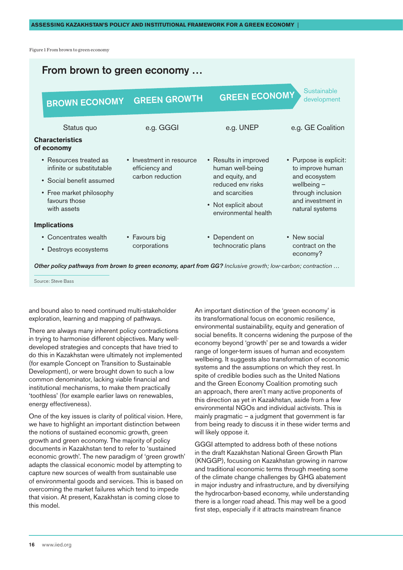Figure 1 From brown to green economy



*Other policy pathways from brown to green economy, apart from GG? Inclusive growth; low-carbon; contraction …*

Source: Steve Bass

and bound also to need continued multi-stakeholder exploration, learning and mapping of pathways.

There are always many inherent policy contradictions in trying to harmonise different objectives. Many welldeveloped strategies and concepts that have tried to do this in Kazakhstan were ultimately not implemented (for example Concept on Transition to Sustainable Development), or were brought down to such a low common denominator, lacking viable financial and institutional mechanisms, to make them practically 'toothless' (for example earlier laws on renewables, energy effectiveness).

One of the key issues is clarity of political vision. Here, we have to highlight an important distinction between the notions of sustained economic growth, green growth and green economy. The majority of policy documents in Kazakhstan tend to refer to 'sustained economic growth'. The new paradigm of 'green growth' adapts the classical economic model by attempting to capture new sources of wealth from sustainable use of environmental goods and services. This is based on overcoming the market failures which tend to impede that vision. At present, Kazakhstan is coming close to this model.

An important distinction of the 'green economy' is its transformational focus on economic resilience, environmental sustainability, equity and generation of social benefits. It concerns widening the purpose of the economy beyond 'growth' per se and towards a wider range of longer-term issues of human and ecosystem wellbeing. It suggests also transformation of economic systems and the assumptions on which they rest. In spite of credible bodies such as the United Nations and the Green Economy Coalition promoting such an approach, there aren't many active proponents of this direction as yet in Kazakhstan, aside from a few environmental NGOs and individual activists. This is mainly pragmatic  $-$  a judgment that government is far from being ready to discuss it in these wider terms and will likely oppose it.

GGGI attempted to address both of these notions in the draft Kazakhstan National Green Growth Plan (KNGGP), focusing on Kazakhstan growing in narrow and traditional economic terms through meeting some of the climate change challenges by GHG abatement in major industry and infrastructure, and by diversifying the hydrocarbon-based economy, while understanding there is a longer road ahead. This may well be a good first step, especially if it attracts mainstream finance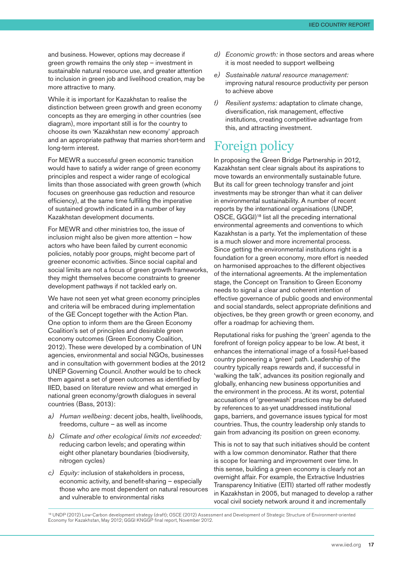<span id="page-16-0"></span>and business. However, options may decrease if green growth remains the only step – investment in sustainable natural resource use, and greater attention to inclusion in green job and livelihood creation, may be more attractive to many.

While it is important for Kazakhstan to realise the distinction between green growth and green economy concepts as they are emerging in other countries (see diagram), more important still is for the country to choose its own 'Kazakhstan new economy' approach and an appropriate pathway that marries short-term and long-term interest.

For MEWR a successful green economic transition would have to satisfy a wider range of green economy principles and respect a wider range of ecological limits than those associated with green growth (which focuses on greenhouse gas reduction and resource efficiency), at the same time fulfilling the imperative of sustained growth indicated in a number of key Kazakhstan development documents.

For MEWR and other ministries too, the issue of inclusion might also be given more attention – how actors who have been failed by current economic policies, notably poor groups, might become part of greener economic activities. Since social capital and social limits are not a focus of green growth frameworks, they might themselves become constraints to greener development pathways if not tackled early on.

We have not seen yet what green economy principles and criteria will be embraced during implementation of the GE Concept together with the Action Plan. One option to inform them are the Green Economy Coalition's set of principles and desirable green economy outcomes (Green Economy Coalition, 2012). These were developed by a combination of UN agencies, environmental and social NGOs, businesses and in consultation with government bodies at the 2012 UNEP Governing Council. Another would be to check them against a set of green outcomes as identified by IIED, based on literature review and what emerged in national green economy/growth dialogues in several countries (Bass, 2013):

- *a) Human wellbeing:* decent jobs, health, livelihoods, freedoms, culture – as well as income
- *b) Climate and other ecological limits not exceeded:*  reducing carbon levels; and operating within eight other planetary boundaries (biodiversity, nitrogen cycles)
- *c) Equity:* inclusion of stakeholders in process, economic activity, and benefit-sharing – especially those who are most dependent on natural resources and vulnerable to environmental risks
- *d) Economic growth:* in those sectors and areas where it is most needed to support wellbeing
- *e) Sustainable natural resource management:*  improving natural resource productivity per person to achieve above
- *f) Resilient systems:* adaptation to climate change, diversification, risk management, effective institutions, creating competitive advantage from this, and attracting investment.

### Foreign policy

In proposing the Green Bridge Partnership in 2012, Kazakhstan sent clear signals about its aspirations to move towards an environmentally sustainable future. But its call for green technology transfer and joint investments may be stronger than what it can deliver in environmental sustainability. A number of recent reports by the international organisations (UNDP, OSCE, GGGI)18 list all the preceding international environmental agreements and conventions to which Kazakhstan is a party. Yet the implementation of these is a much slower and more incremental process. Since getting the environmental institutions right is a foundation for a green economy, more effort is needed on harmonised approaches to the different objectives of the international agreements. At the implementation stage, the Concept on Transition to Green Economy needs to signal a clear and coherent intention of effective governance of public goods and environmental and social standards, select appropriate definitions and objectives, be they green growth or green economy, and offer a roadmap for achieving them.

Reputational risks for pushing the 'green' agenda to the forefront of foreign policy appear to be low. At best, it enhances the international image of a fossil-fuel-based country pioneering a 'green' path. Leadership of the country typically reaps rewards and, if successful in 'walking the talk', advances its position regionally and globally, enhancing new business opportunities and the environment in the process. At its worst, potential accusations of 'greenwash' practices may be defused by references to as-yet unaddressed institutional gaps, barriers, and governance issues typical for most countries. Thus, the country leadership only stands to gain from advancing its position on green economy.

This is not to say that such initiatives should be content with a low common denominator. Rather that there is scope for learning and improvement over time. In this sense, building a green economy is clearly not an overnight affair. For example, the Extractive Industries Transparency Initiative (EITI) started off rather modestly in Kazakhstan in 2005, but managed to develop a rather vocal civil society network around it and incrementally

<sup>&</sup>lt;sup>18</sup> UNDP (2012) Low-Carbon development strategy (draft); OSCE (2012) Assessment and Development of Strategic Structure of Environment-oriented Economy for Kazakhstan, May 2012; GGGI KNGGP final report, November 2012.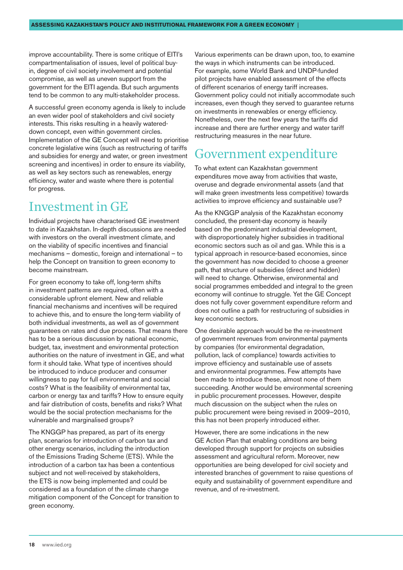<span id="page-17-0"></span>improve accountability. There is some critique of EITI's compartmentalisation of issues, level of political buyin, degree of civil society involvement and potential compromise, as well as uneven support from the government for the EITI agenda. But such arguments tend to be common to any multi-stakeholder process.

A successful green economy agenda is likely to include an even wider pool of stakeholders and civil society interests. This risks resulting in a heavily watereddown concept, even within government circles. Implementation of the GE Concept will need to prioritise concrete legislative wins (such as restructuring of tariffs and subsidies for energy and water, or green investment screening and incentives) in order to ensure its viability, as well as key sectors such as renewables, energy efficiency, water and waste where there is potential for progress.

## Investment in GE

Individual projects have characterised GE investment to date in Kazakhstan. In-depth discussions are needed with investors on the overall investment climate, and on the viability of specific incentives and financial mechanisms – domestic, foreign and international – to help the Concept on transition to green economy to become mainstream.

For green economy to take off, long-term shifts in investment patterns are required, often with a considerable upfront element. New and reliable financial mechanisms and incentives will be required to achieve this, and to ensure the long-term viability of both individual investments, as well as of government guarantees on rates and due process. That means there has to be a serious discussion by national economic, budget, tax, investment and environmental protection authorities on the nature of investment in GE, and what form it should take. What type of incentives should be introduced to induce producer and consumer willingness to pay for full environmental and social costs? What is the feasibility of environmental tax, carbon or energy tax and tariffs? How to ensure equity and fair distribution of costs, benefits and risks? What would be the social protection mechanisms for the vulnerable and marginalised groups?

The KNGGP has prepared, as part of its energy plan, scenarios for introduction of carbon tax and other energy scenarios, including the introduction of the Emissions Trading Scheme (ETS). While the introduction of a carbon tax has been a contentious subject and not well-received by stakeholders, the ETS is now being implemented and could be considered as a foundation of the climate change mitigation component of the Concept for transition to green economy.

Various experiments can be drawn upon, too, to examine the ways in which instruments can be introduced. For example, some World Bank and UNDP-funded pilot projects have enabled assessment of the effects of different scenarios of energy tariff increases. Government policy could not initially accommodate such increases, even though they served to guarantee returns on investments in renewables or energy efficiency. Nonetheless, over the next few years the tariffs did increase and there are further energy and water tariff restructuring measures in the near future.

## Government expenditure

To what extent can Kazakhstan government expenditures move away from activities that waste, overuse and degrade environmental assets (and that will make green investments less competitive) towards activities to improve efficiency and sustainable use?

As the KNGGP analysis of the Kazakhstan economy concluded, the present-day economy is heavily based on the predominant industrial development, with disproportionately higher subsidies in traditional economic sectors such as oil and gas. While this is a typical approach in resource-based economies, since the government has now decided to choose a greener path, that structure of subsidies (direct and hidden) will need to change. Otherwise, environmental and social programmes embedded and integral to the green economy will continue to struggle. Yet the GE Concept does not fully cover government expenditure reform and does not outline a path for restructuring of subsidies in key economic sectors.

One desirable approach would be the re-investment of government revenues from environmental payments by companies (for environmental degradation, pollution, lack of compliance) towards activities to improve efficiency and sustainable use of assets and environmental programmes. Few attempts have been made to introduce these, almost none of them succeeding. Another would be environmental screening in public procurement processes. However, despite much discussion on the subject when the rules on public procurement were being revised in 2009–2010, this has not been properly introduced either.

However, there are some indications in the new GE Action Plan that enabling conditions are being developed through support for projects on subsidies assessment and agricultural reform. Moreover, new opportunities are being developed for civil society and interested branches of government to raise questions of equity and sustainability of government expenditure and revenue, and of re-investment.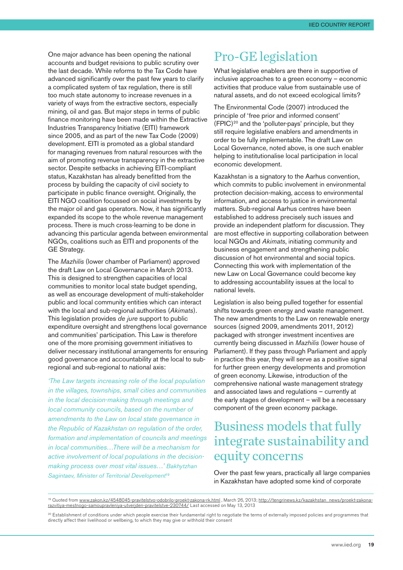<span id="page-18-0"></span>One major advance has been opening the national accounts and budget revisions to public scrutiny over the last decade. While reforms to the Tax Code have advanced significantly over the past few years to clarify a complicated system of tax regulation, there is still too much state autonomy to increase revenues in a variety of ways from the extractive sectors, especially mining, oil and gas. But major steps in terms of public finance monitoring have been made within the Extractive Industries Transparency Initiative (EITI) framework since 2005, and as part of the new Tax Code (2009) development. EITI is promoted as a global standard for managing revenues from natural resources with the aim of promoting revenue transparency in the extractive sector. Despite setbacks in achieving EITI-compliant status, Kazakhstan has already benefitted from the process by building the capacity of civil society to participate in public finance oversight. Originally, the EITI NGO coalition focussed on social investments by the major oil and gas operators. Now, it has significantly expanded its scope to the whole revenue management process. There is much cross-learning to be done in advancing this particular agenda between environmental NGOs, coalitions such as EITI and proponents of the GE Strategy.

The *Mazhilis* (lower chamber of Parliament) approved the draft Law on Local Governance in March 2013. This is designed to strengthen capacities of local communities to monitor local state budget spending, as well as encourage development of multi-stakeholder public and local community entities which can interact with the local and sub-regional authorities (*Akimats*). This legislation provides *de jure* support to public expenditure oversight and strengthens local governance and communities' participation. This Law is therefore one of the more promising government initiatives to deliver necessary institutional arrangements for ensuring good governance and accountability at the local to subregional and sub-regional to national axis:

*'The Law targets increasing role of the local population in the villages, townships, small cities and communities in the local decision-making through meetings and local community councils, based on the number of amendments to the Law on local state governance in the Republic of Kazakhstan on regulation of the order, formation and implementation of councils and meetings in local communities…There will be a mechanism for active involvement of local populations in the decisionmaking process over most vital issues…' Bakhytzhan Sagintaev, Minister of Territorial Development*<sup>19</sup>

### Pro-GE legislation

What legislative enablers are there in supportive of inclusive approaches to a green economy – economic activities that produce value from sustainable use of natural assets, and do not exceed ecological limits?

The Environmental Code (2007) introduced the principle of 'free prior and informed consent' (FPIC) 20 and the 'polluter-pays' principle, but they still require legislative enablers and amendments in order to be fully implementable. The draft Law on Local Governance, noted above, is one such enabler helping to institutionalise local participation in local economic development.

Kazakhstan is a signatory to the Aarhus convention, which commits to public involvement in environmental protection decision-making, access to environmental information, and access to justice in environmental matters. Sub-regional Aarhus centres have been established to address precisely such issues and provide an independent platform for discussion. They are most effective in supporting collaboration between local NGOs and *Akimats*, initiating community and business engagement and strengthening public discussion of hot environmental and social topics. Connecting this work with implementation of the new Law on Local Governance could become key to addressing accountability issues at the local to national levels.

Legislation is also being pulled together for essential shifts towards green energy and waste management. The new amendments to the Law on renewable energy sources (signed 2009, amendments 2011, 2012) packaged with stronger investment incentives are currently being discussed in *Mazhilis* (lower house of Parliament). If they pass through Parliament and apply in practice this year, they will serve as a positive signal for further green energy developments and promotion of green economy. Likewise, introduction of the comprehensive national waste management strategy and associated laws and regulations – currently at the early stages of development – will be a necessary component of the green economy package.

## Business models that fully integrate sustainability and equity concerns

Over the past few years, practically all large companies in Kazakhstan have adopted some kind of corporate

<sup>19</sup> Quoted from [www.zakon.kz/4548045-pravitelstvo-odobrilo-proekt-zakona-rk.html](http://www.zakon.kz/4548045-pravitelstvo-odobrilo-proekt-zakona-rk.html), March 26, 2013; [http://tengrinews.kz/kazakhstan\\_news/proekt-zakona](http://tengrinews.kz/kazakhstan_news/proekt-zakona-razvitiya-mestnogo-samoupravleniya-utverjden-pravitelstve-230744/)[razvitiya-mestnogo-samoupravleniya-utverjden-pravitelstve-230744/](http://tengrinews.kz/kazakhstan_news/proekt-zakona-razvitiya-mestnogo-samoupravleniya-utverjden-pravitelstve-230744/) Last accessed on May 13, 2013

<sup>20</sup> Establishment of conditions under which people exercise their fundamental right to negotiate the terms of externally imposed policies and programmes that directly affect their livelihood or wellbeing, to which they may give or withhold their consent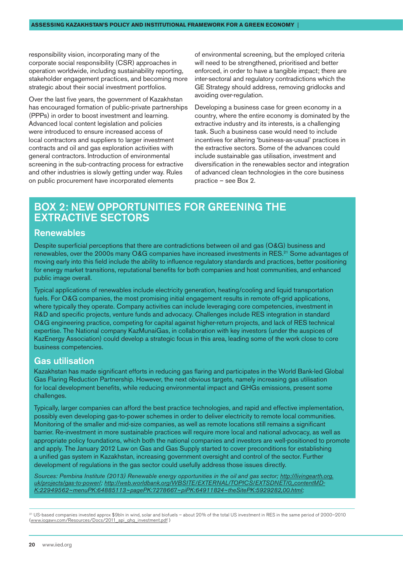responsibility vision, incorporating many of the corporate social responsibility (CSR) approaches in operation worldwide, including sustainability reporting, stakeholder engagement practices, and becoming more strategic about their social investment portfolios.

Over the last five years, the government of Kazakhstan has encouraged formation of public-private partnerships (PPPs) in order to boost investment and learning. Advanced local content legislation and policies were introduced to ensure increased access of local contractors and suppliers to larger investment contracts and oil and gas exploration activities with general contractors. Introduction of environmental screening in the sub-contracting process for extractive and other industries is slowly getting under way. Rules on public procurement have incorporated elements

of environmental screening, but the employed criteria will need to be strengthened, prioritised and better enforced, in order to have a tangible impact; there are inter-sectoral and regulatory contradictions which the GE Strategy should address, removing gridlocks and avoiding over-regulation.

Developing a business case for green economy in a country, where the entire economy is dominated by the extractive industry and its interests, is a challenging task. Such a business case would need to include incentives for altering 'business-as-usual' practices in the extractive sectors. Some of the advances could include sustainable gas utilisation, investment and diversification in the renewables sector and integration of advanced clean technologies in the core business practice – see Box 2.

#### Box 2: New opportunities for greening the extractive sectors

#### **Renewables**

Despite superficial perceptions that there are contradictions between oil and gas (O&G) business and renewables, over the 2000s many O&G companies have increased investments in RES.<sup>21</sup> Some advantages of moving early into this field include the ability to influence regulatory standards and practices, better positioning for energy market transitions, reputational benefits for both companies and host communities, and enhanced public image overall.

Typical applications of renewables include electricity generation, heating/cooling and liquid transportation fuels. For O&G companies, the most promising initial engagement results in remote off-grid applications, where typically they operate. Company activities can include leveraging core competencies, investment in R&D and specific projects, venture funds and advocacy. Challenges include RES integration in standard O&G engineering practice, competing for capital against higher-return projects, and lack of RES technical expertise. The National company KazMunaiGas, in collaboration with key investors (under the auspices of KazEnergy Association) could develop a strategic focus in this area, leading some of the work close to core business competencies.

#### Gas utilisation

Kazakhstan has made significant efforts in reducing gas flaring and participates in the World Bank-led Global Gas Flaring Reduction Partnership. However, the next obvious targets, namely increasing gas utilisation for local development benefits, while reducing environmental impact and GHGs emissions, present some challenges.

Typically, larger companies can afford the best practice technologies, and rapid and effective implementation, possibly even developing gas-to-power schemes in order to deliver electricity to remote local communities. Monitoring of the smaller and mid-size companies, as well as remote locations still remains a significant barrier. Re-investment in more sustainable practices will require more local and national advocacy, as well as appropriate policy foundations, which both the national companies and investors are well-positioned to promote and apply. The January 2012 Law on Gas and Gas Supply started to cover preconditions for establishing a unified gas system in Kazakhstan, increasing government oversight and control of the sector. Further development of regulations in the gas sector could usefully address those issues directly.

*Sources: Pembina Institute (2013) Renewable energy opportunities in the oil and gas sector; [http://livingearth.org.](http://livingearth.org.uk/projects/gas-to-power/) [uk/projects/gas-to-power/](http://livingearth.org.uk/projects/gas-to-power/); [http://web.worldbank.org/WBSITE/EXTERNAL/TOPICS/EXTSDNET/0,,contentMD-](http://web.worldbank.org/WBSITE/EXTERNAL/TOPICS/EXTSDNET/0,,contentMDK:22949562~menuPK:64885113~pagePK:7278667~piPK:64911824~theSitePK:5929282,00.html)[K:22949562~menuPK:64885113~pagePK:7278667~piPK:64911824~theSitePK:5929282,00.html;](http://web.worldbank.org/WBSITE/EXTERNAL/TOPICS/EXTSDNET/0,,contentMDK:22949562~menuPK:64885113~pagePK:7278667~piPK:64911824~theSitePK:5929282,00.html)* 

<sup>21</sup> US-based companies invested approx \$9bln in wind, solar and biofuels – about 20% of the total US investment in RES in the same period of 2000–2010 [\(www.iogawv.com/Resources/Docs/2011\\_api\\_ghg\\_investment.pdf](http://www.iogawv.com/Resources/Docs/2011_api_ghg_investment.pdf) )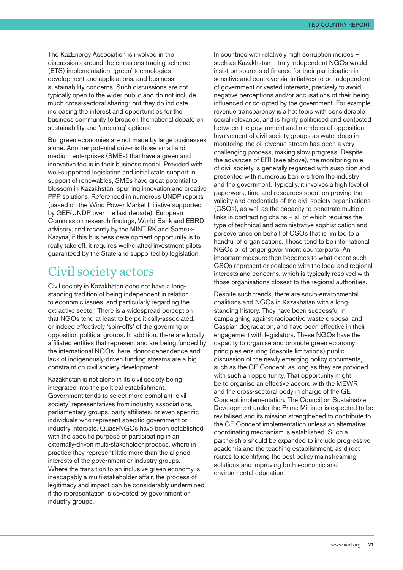<span id="page-20-0"></span>The KazEnergy Association is involved in the discussions around the emissions trading scheme (ETS) implementation, 'green' technologies development and applications, and business sustainability concerns. Such discussions are not typically open to the wider public and do not include much cross-sectoral sharing; but they do indicate increasing the interest and opportunities for the business community to broaden the national debate on sustainability and 'greening' options.

But green economies are not made by large businesses alone. Another potential driver is those small and medium enterprises (SMEs) that have a green and innovative focus in their business model. Provided with well-supported legislation and initial state support in support of renewables, SMEs have great potential to blossom in Kazakhstan, spurring innovation and creative PPP solutions. Referenced in numerous UNDP reports (based on the Wind Power Market Initiative supported by GEF/UNDP over the last decade), European Commission research findings, World Bank and EBRD advisory, and recently by the MINT RK and Samruk-Kazyna, if this business development opportunity is to really take off, it requires well-crafted investment pilots guaranteed by the State and supported by legislation.

#### Civil society actors

Civil society in Kazakhstan does not have a longstanding tradition of being independent in relation to economic issues, and particularly regarding the extractive sector. There is a widespread perception that NGOs tend at least to be politically-associated, or indeed effectively 'spin-offs' of the governing or opposition political groups. In addition, there are locally affiliated entities that represent and are being funded by the international NGOs; here, donor-dependence and lack of indigenously-driven funding streams are a big constraint on civil society development.

Kazakhstan is not alone in its civil society being integrated into the political establishment. Government tends to select more compliant 'civil society' representatives from industry associations, parliamentary groups, party affiliates, or even specific individuals who represent specific government or industry interests. Quasi-NGOs have been established with the specific purpose of participating in an externally-driven multi-stakeholder process, where in practice they represent little more than the aligned interests of the government or industry groups. Where the transition to an inclusive green economy is inescapably a multi-stakeholder affair, the process of legitimacy and impact can be considerably undermined if the representation is co-opted by government or industry groups.

In countries with relatively high corruption indices – such as Kazakhstan – truly independent NGOs would insist on sources of finance for their participation in sensitive and controversial initiatives to be independent of government or vested interests, precisely to avoid negative perceptions and/or accusations of their being influenced or co-opted by the government. For example, revenue transparency is a hot topic with considerable social relevance, and is highly politicised and contested between the government and members of opposition. Involvement of civil society groups as watchdogs in monitoring the oil revenue stream has been a very challenging process, making slow progress. Despite the advances of EITI (see above), the monitoring role of civil society is generally regarded with suspicion and presented with numerous barriers from the industry and the government. Typically, it involves a high level of paperwork, time and resources spent on proving the validity and credentials of the civil society organisations (CSOs), as well as the capacity to penetrate multiple links in contracting chains – all of which requires the type of technical and administrative sophistication and perseverance on behalf of CSOs that is limited to a handful of organisations. These tend to be international NGOs or stronger government counterparts. An important measure then becomes to what extent such CSOs represent or coalesce with the local and regional interests and concerns, which is typically resolved with those organisations closest to the regional authorities.

Despite such trends, there are socio-environmental coalitions and NGOs in Kazakhstan with a longstanding history. They have been successful in campaigning against radioactive waste disposal and Caspian degradation, and have been effective in their engagement with legislators. These NGOs have the capacity to organise and promote green economy principles ensuring (despite limitations) public discussion of the newly emerging policy documents, such as the GE Concept, as long as they are provided with such an opportunity. That opportunity might be to organise an effective accord with the MEWR and the cross-sectoral body in charge of the GE Concept implementation. The Council on Sustainable Development under the Prime Minister is expected to be revitalised and its mission strengthened to contribute to the GE Concept implementation unless an alternative coordinating mechanism is established. Such a partnership should be expanded to include progressive academia and the teaching establishment, as direct routes to identifying the best policy mainstreaming solutions and improving both economic and environmental education.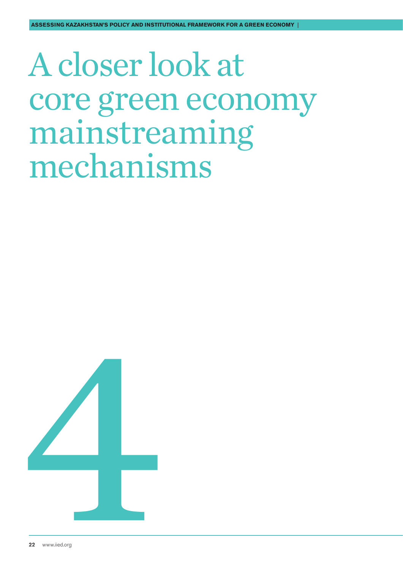## <span id="page-21-0"></span>A closer look at core green economy mainstreaming mechanisms

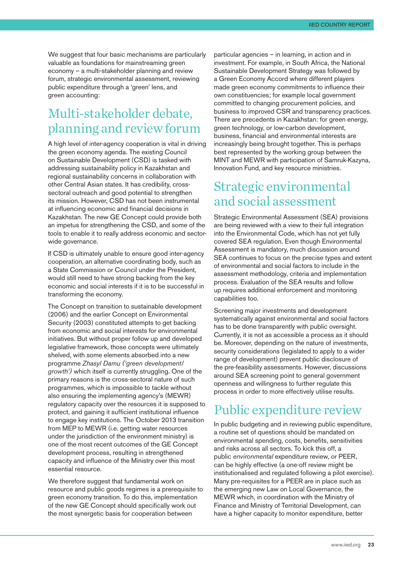<span id="page-22-0"></span>We suggest that four basic mechanisms are particularly valuable as foundations for mainstreaming green economy – a multi-stakeholder planning and review forum, strategic environmental assessment, reviewing public expenditure through a 'green' lens, and green accounting:

## Multi-stakeholder debate, planning and review forum

A high level of inter-agency cooperation is vital in driving the green economy agenda. The existing Council on Sustainable Development (CSD) is tasked with addressing sustainability policy in Kazakhstan and regional sustainability concerns in collaboration with other Central Asian states. It has credibility, crosssectoral outreach and good potential to strengthen its mission. However, CSD has not been instrumental at influencing economic and financial decisions in Kazakhstan. The new GE Concept could provide both an impetus for strengthening the CSD, and some of the tools to enable it to really address economic and sectorwide governance.

If CSD is ultimately unable to ensure good inter-agency cooperation, an alternative coordinating body, such as a State Commission or Council under the President, would still need to have strong backing from the key economic and social interests if it is to be successful in transforming the economy.

The Concept on transition to sustainable development (2006) and the earlier Concept on Environmental Security (2003) constituted attempts to get backing from economic and social interests for environmental initiatives. But without proper follow up and developed legislative framework, those concepts were ultimately shelved, with some elements absorbed into a new programme *Zhasyl Damu ('green development/ growth')* which itself is currently struggling. One of the primary reasons is the cross-sectoral nature of such programmes, which is impossible to tackle without also ensuring the implementing agency's (MEWR) regulatory capacity over the resources it is supposed to protect, and gaining it sufficient institutional influence to engage key institutions. The October 2013 transition from MEP to MEWR (i.e. getting water resources under the jurisdiction of the environment ministry) is one of the most recent outcomes of the GE Concept development process, resulting in strengthened capacity and influence of the Ministry over this most essential resource.

We therefore suggest that fundamental work on resource and public goods regimes is a prerequisite to green economy transition. To do this, implementation of the new GE Concept should specifically work out the most synergetic basis for cooperation between

particular agencies – in learning, in action and in investment. For example, in South Africa, the National Sustainable Development Strategy was followed by a Green Economy Accord where different players made green economy commitments to influence their own constituencies; for example local government committed to changing procurement policies, and business to improved CSR and transparency practices. There are precedents in Kazakhstan: for green energy, green technology, or low-carbon development, business, financial and environmental interests are increasingly being brought together. This is perhaps best represented by the working group between the MINT and MEWR with participation of Samruk-Kazyna, Innovation Fund, and key resource ministries.

## Strategic environmental and social assessment

Strategic Environmental Assessment (SEA) provisions are being reviewed with a view to their full integration into the Environmental Code, which has not yet fully covered SEA regulation. Even though Environmental Assessment is mandatory, much discussion around SEA continues to focus on the precise types and extent of environmental and social factors to include in the assessment methodology, criteria and implementation process. Evaluation of the SEA results and follow up requires additional enforcement and monitoring capabilities too.

Screening major investments and development systematically against environmental and social factors has to be done transparently with public oversight. Currently, it is not as accessible a process as it should be. Moreover, depending on the nature of investments, security considerations (legislated to apply to a wider range of development) prevent public disclosure of the pre-feasibility assessments. However, discussions around SEA screening point to general government openness and willingness to further regulate this process in order to more effectively utilise results.

## Public expenditure review

In public budgeting and in reviewing public expenditure, a routine set of questions should be mandated on environmental spending, costs, benefits, sensitivities and risks across all sectors. To kick this off, a public *environmental* expenditure review, or PEER, can be highly effective (a one-off review might be institutionalised and regulated following a pilot exercise). Many pre-requisites for a PEER are in place such as the emerging new Law on Local Governance, the MEWR which, in coordination with the Ministry of Finance and Ministry of Territorial Development, can have a higher capacity to monitor expenditure, better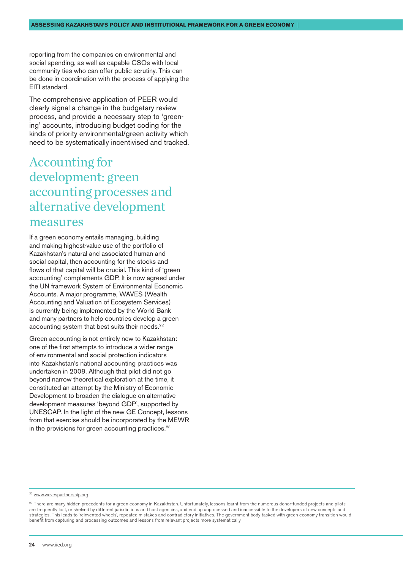<span id="page-23-0"></span>reporting from the companies on environmental and social spending, as well as capable CSOs with local community ties who can offer public scrutiny. This can be done in coordination with the process of applying the EITI standard.

The comprehensive application of PEER would clearly signal a change in the budgetary review process, and provide a necessary step to 'greening' accounts, introducing budget coding for the kinds of priority environmental/green activity which need to be systematically incentivised and tracked.

### Accounting for development: green accounting processes and alternative development measures

If a green economy entails managing, building and making highest-value use of the portfolio of Kazakhstan's natural and associated human and social capital, then accounting for the stocks and flows of that capital will be crucial. This kind of 'green accounting' complements GDP. It is now agreed under the UN framework System of Environmental Economic Accounts. A major programme, WAVES (Wealth Accounting and Valuation of Ecosystem Services) is currently being implemented by the World Bank and many partners to help countries develop a green accounting system that best suits their needs.<sup>22</sup>

Green accounting is not entirely new to Kazakhstan: one of the first attempts to introduce a wider range of environmental and social protection indicators into Kazakhstan's national accounting practices was undertaken in 2008. Although that pilot did not go beyond narrow theoretical exploration at the time, it constituted an attempt by the Ministry of Economic Development to broaden the dialogue on alternative development measures 'beyond GDP', supported by UNESCAP. In the light of the new GE Concept, lessons from that exercise should be incorporated by the MEWR in the provisions for green accounting practices.<sup>23</sup>

<sup>22</sup> [www.wavespartnership.org](http://www.wavespartnership.org)

<sup>&</sup>lt;sup>23</sup> There are many hidden precedents for a green economy in Kazakhstan. Unfortunately, lessons learnt from the numerous donor-funded projects and pilots are frequently lost, or shelved by different jurisdictions and host agencies, and end up unprocessed and inaccessible to the developers of new concepts and strategies. This leads to 'reinvented wheels', repeated mistakes and contradictory initiatives. The government body tasked with green economy transition would benefit from capturing and processing outcomes and lessons from relevant projects more systematically.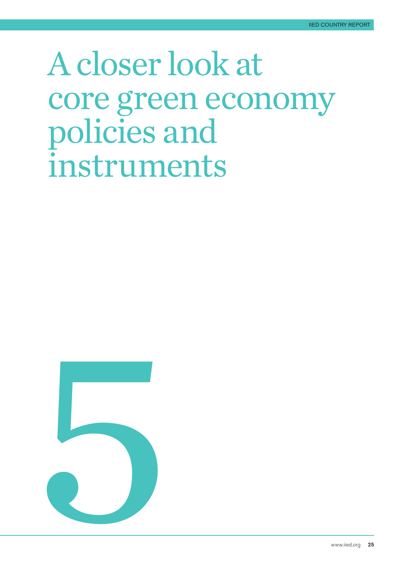## <span id="page-24-0"></span>A closer look at core green economy policies and instruments

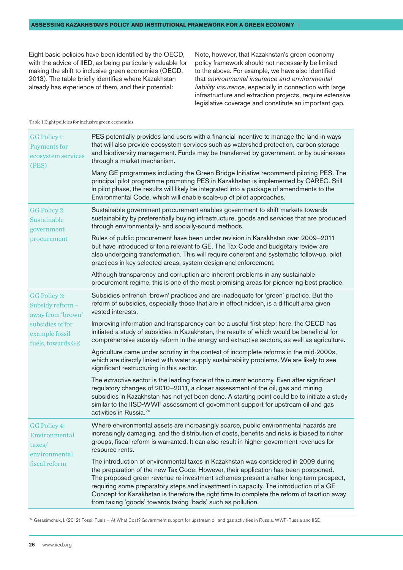Eight basic policies have been identified by the OECD, with the advice of IIED, as being particularly valuable for making the shift to inclusive green economies (OECD, 2013). The table briefly identifies where Kazakhstan already has experience of them, and their potential:

Note, however, that Kazakhstan's green economy policy framework should not necessarily be limited to the above. For example, we have also identified that *environmental insurance and environmental liability insurance,* especially in connection with large infrastructure and extraction projects, require extensive legislative coverage and constitute an important gap.

#### Table 1 Eight policies for inclusive green economies

| <b>GG Policy 1:</b><br>Payments for<br>ecosystem services<br>(PES)                                               | PES potentially provides land users with a financial incentive to manage the land in ways<br>that will also provide ecosystem services such as watershed protection, carbon storage<br>and biodiversity management. Funds may be transferred by government, or by businesses<br>through a market mechanism.                                                                                                                                                                                                                |
|------------------------------------------------------------------------------------------------------------------|----------------------------------------------------------------------------------------------------------------------------------------------------------------------------------------------------------------------------------------------------------------------------------------------------------------------------------------------------------------------------------------------------------------------------------------------------------------------------------------------------------------------------|
|                                                                                                                  | Many GE programmes including the Green Bridge Initiative recommend piloting PES. The<br>principal pilot programme promoting PES in Kazakhstan is implemented by CAREC. Still<br>in pilot phase, the results will likely be integrated into a package of amendments to the<br>Environmental Code, which will enable scale-up of pilot approaches.                                                                                                                                                                           |
| GG Policy 2:<br>Sustainable<br>government<br>procurement                                                         | Sustainable government procurement enables government to shift markets towards<br>sustainability by preferentially buying infrastructure, goods and services that are produced<br>through environmentally- and socially-sound methods.                                                                                                                                                                                                                                                                                     |
|                                                                                                                  | Rules of public procurement have been under revision in Kazakhstan over 2009-2011<br>but have introduced criteria relevant to GE. The Tax Code and budgetary review are<br>also undergoing transformation. This will require coherent and systematic follow-up, pilot<br>practices in key selected areas, system design and enforcement.                                                                                                                                                                                   |
|                                                                                                                  | Although transparency and corruption are inherent problems in any sustainable<br>procurement regime, this is one of the most promising areas for pioneering best practice.                                                                                                                                                                                                                                                                                                                                                 |
| GG Policy 3:<br>Subsidy reform -<br>away from 'brown'<br>subsidies of for<br>example fossil<br>fuels, towards GE | Subsidies entrench 'brown' practices and are inadequate for 'green' practice. But the<br>reform of subsidies, especially those that are in effect hidden, is a difficult area given<br>vested interests.                                                                                                                                                                                                                                                                                                                   |
|                                                                                                                  | Improving information and transparency can be a useful first step: here, the OECD has<br>initiated a study of subsidies in Kazakhstan, the results of which would be beneficial for<br>comprehensive subsidy reform in the energy and extractive sectors, as well as agriculture.                                                                                                                                                                                                                                          |
|                                                                                                                  | Agriculture came under scrutiny in the context of incomplete reforms in the mid-2000s,<br>which are directly linked with water supply sustainability problems. We are likely to see<br>significant restructuring in this sector.                                                                                                                                                                                                                                                                                           |
|                                                                                                                  | The extractive sector is the leading force of the current economy. Even after significant<br>regulatory changes of 2010-2011, a closer assessment of the oil, gas and mining<br>subsidies in Kazakhstan has not yet been done. A starting point could be to initiate a study<br>similar to the IISD-WWF assessment of government support for upstream oil and gas<br>activities in Russia. <sup>24</sup>                                                                                                                   |
| GG Policy 4:<br>Environmental<br>taxes/<br>environmental<br>fiscal reform                                        | Where environmental assets are increasingly scarce, public environmental hazards are<br>increasingly damaging, and the distribution of costs, benefits and risks is biased to richer<br>groups, fiscal reform is warranted. It can also result in higher government revenues for<br>resource rents.                                                                                                                                                                                                                        |
|                                                                                                                  | The introduction of environmental taxes in Kazakhstan was considered in 2009 during<br>the preparation of the new Tax Code. However, their application has been postponed.<br>The proposed green revenue re-investment schemes present a rather long-term prospect,<br>requiring some preparatory steps and investment in capacity. The introduction of a GE<br>Concept for Kazakhstan is therefore the right time to complete the reform of taxation away<br>from taxing 'goods' towards taxing 'bads' such as pollution. |

24 Gerasimchuk, I. (2012) Fossil Fuels – At What Cost? Government support for upstream oil and gas activities in Russia. WWF-Russia and IISD.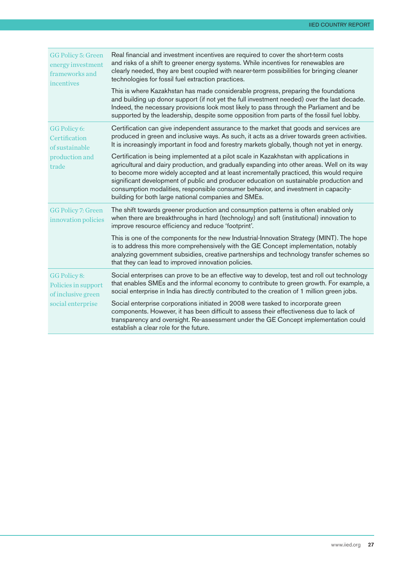| <b>GG Policy 5: Green</b><br>energy investment<br>frameworks and<br>incentives | Real financial and investment incentives are required to cover the short-term costs<br>and risks of a shift to greener energy systems. While incentives for renewables are<br>clearly needed, they are best coupled with nearer-term possibilities for bringing cleaner<br>technologies for fossil fuel extraction practices.                                                                                                                                                                                             |
|--------------------------------------------------------------------------------|---------------------------------------------------------------------------------------------------------------------------------------------------------------------------------------------------------------------------------------------------------------------------------------------------------------------------------------------------------------------------------------------------------------------------------------------------------------------------------------------------------------------------|
|                                                                                | This is where Kazakhstan has made considerable progress, preparing the foundations<br>and building up donor support (if not yet the full investment needed) over the last decade.<br>Indeed, the necessary provisions look most likely to pass through the Parliament and be<br>supported by the leadership, despite some opposition from parts of the fossil fuel lobby.                                                                                                                                                 |
| GG Policy 6:<br>Certification<br>of sustainable                                | Certification can give independent assurance to the market that goods and services are<br>produced in green and inclusive ways. As such, it acts as a driver towards green activities.<br>It is increasingly important in food and forestry markets globally, though not yet in energy.                                                                                                                                                                                                                                   |
| production and<br>trade                                                        | Certification is being implemented at a pilot scale in Kazakhstan with applications in<br>agricultural and dairy production, and gradually expanding into other areas. Well on its way<br>to become more widely accepted and at least incrementally practiced, this would require<br>significant development of public and producer education on sustainable production and<br>consumption modalities, responsible consumer behavior, and investment in capacity-<br>building for both large national companies and SMEs. |
| <b>GG Policy 7: Green</b><br>innovation policies                               | The shift towards greener production and consumption patterns is often enabled only<br>when there are breakthroughs in hard (technology) and soft (institutional) innovation to<br>improve resource efficiency and reduce 'footprint'.                                                                                                                                                                                                                                                                                    |
|                                                                                | This is one of the components for the new Industrial-Innovation Strategy (MINT). The hope<br>is to address this more comprehensively with the GE Concept implementation, notably<br>analyzing government subsidies, creative partnerships and technology transfer schemes so<br>that they can lead to improved innovation policies.                                                                                                                                                                                       |
| GG Policy 8:<br>Policies in support<br>of inclusive green<br>social enterprise | Social enterprises can prove to be an effective way to develop, test and roll out technology<br>that enables SMEs and the informal economy to contribute to green growth. For example, a<br>social enterprise in India has directly contributed to the creation of 1 million green jobs.                                                                                                                                                                                                                                  |
|                                                                                | Social enterprise corporations initiated in 2008 were tasked to incorporate green<br>components. However, it has been difficult to assess their effectiveness due to lack of<br>transparency and oversight. Re-assessment under the GE Concept implementation could<br>establish a clear role for the future.                                                                                                                                                                                                             |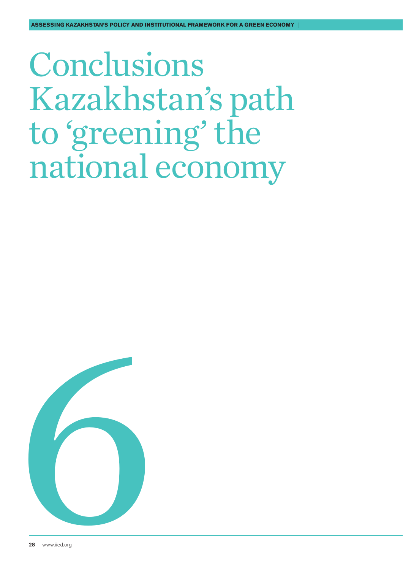## <span id="page-27-0"></span>Conclusions Kazakhstan's path to 'greening' the national economy

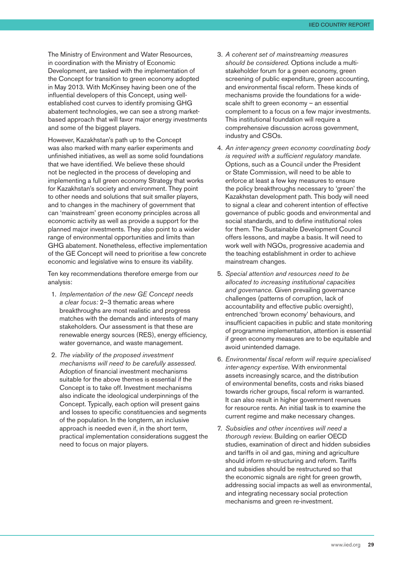The Ministry of Environment and Water Resources, in coordination with the Ministry of Economic Development, are tasked with the implementation of the Concept for transition to green economy adopted in May 2013. With McKinsey having been one of the influential developers of this Concept, using wellestablished cost curves to identify promising GHG abatement technologies, we can see a strong marketbased approach that will favor major energy investments and some of the biggest players.

However, Kazakhstan's path up to the Concept was also marked with many earlier experiments and unfinished initiatives, as well as some solid foundations that we have identified. We believe these should not be neglected in the process of developing and implementing a full green economy Strategy that works for Kazakhstan's society and environment. They point to other needs and solutions that suit smaller players, and to changes in the machinery of government that can 'mainstream' green economy principles across all economic activity as well as provide a support for the planned major investments. They also point to a wider range of environmental opportunities and limits than GHG abatement. Nonetheless, effective implementation of the GE Concept will need to prioritise a few concrete economic and legislative wins to ensure its viability.

Ten key recommendations therefore emerge from our analysis:

- 1. *Implementation of the new GE Concept needs a clear focus:* 2–3 thematic areas where breakthroughs are most realistic and progress matches with the demands and interests of many stakeholders. Our assessment is that these are renewable energy sources (RES), energy efficiency, water governance, and waste management.
- 2. *The viability of the proposed investment mechanisms will need to be carefully assessed*. Adoption of financial investment mechanisms suitable for the above themes is essential if the Concept is to take off. Investment mechanisms also indicate the ideological underpinnings of the Concept. Typically, each option will present gains and losses to specific constituencies and segments of the population. In the longterm, an inclusive approach is needed even if, in the short term, practical implementation considerations suggest the need to focus on major players.
- 3. *A coherent set of mainstreaming measures should be considered.* Options include a multistakeholder forum for a green economy, green screening of public expenditure, green accounting, and environmental fiscal reform. These kinds of mechanisms provide the foundations for a widescale shift to green economy – an essential complement to a focus on a few major investments. This institutional foundation will require a comprehensive discussion across government, industry and CSOs.
- 4. *An inter-agency green economy coordinating body is required with a sufficient regulatory mandate*. Options, such as a Council under the President or State Commission, will need to be able to enforce at least a few key measures to ensure the policy breakthroughs necessary to 'green' the Kazakhstan development path. This body will need to signal a clear and coherent intention of effective governance of public goods and environmental and social standards, and to define institutional roles for them. The Sustainable Development Council offers lessons, and maybe a basis. It will need to work well with NGOs, progressive academia and the teaching establishment in order to achieve mainstream changes.
- 5. *Special attention and resources need to be allocated to increasing institutional capacities and governance.* Given prevailing governance challenges (patterns of corruption, lack of accountability and effective public oversight), entrenched 'brown economy' behaviours, and insufficient capacities in public and state monitoring of programme implementation, attention is essential if green economy measures are to be equitable and avoid unintended damage.
- 6. *Environmental fiscal reform will require specialised inter-agency expertise.* With environmental assets increasingly scarce, and the distribution of environmental benefits, costs and risks biased towards richer groups, fiscal reform is warranted. It can also result in higher government revenues for resource rents. An initial task is to examine the current regime and make necessary changes.
- 7. *Subsidies and other incentives will need a thorough review*. Building on earlier OECD studies, examination of direct and hidden subsidies and tariffs in oil and gas, mining and agriculture should inform re-structuring and reform. Tariffs and subsidies should be restructured so that the economic signals are right for green growth. addressing social impacts as well as environmental, and integrating necessary social protection mechanisms and green re-investment.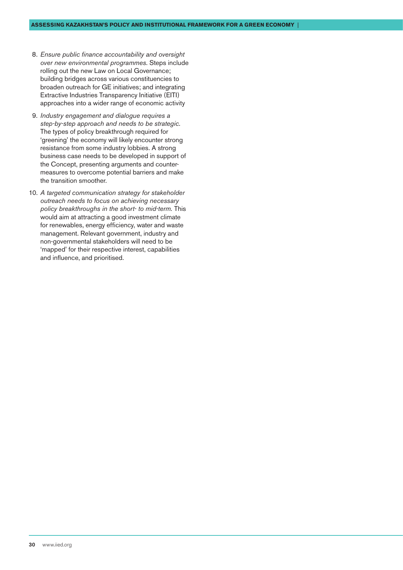- 8. *Ensure public finance accountability and oversight over new environmental programmes*. Steps include rolling out the new Law on Local Governance; building bridges across various constituencies to broaden outreach for GE initiatives; and integrating Extractive Industries Transparency Initiative (EITI) approaches into a wider range of economic activity
- 9. *Industry engagement and dialogue requires a step-by-step approach and needs to be strategic*. The types of policy breakthrough required for 'greening' the economy will likely encounter strong resistance from some industry lobbies. A strong business case needs to be developed in support of the Concept, presenting arguments and countermeasures to overcome potential barriers and make the transition smoother.
- 10. *A targeted communication strategy for stakeholder outreach needs to focus on achieving necessary policy breakthroughs in the short- to mid-term.* This would aim at attracting a good investment climate for renewables, energy efficiency, water and waste management. Relevant government, industry and non-governmental stakeholders will need to be 'mapped' for their respective interest, capabilities and influence, and prioritised.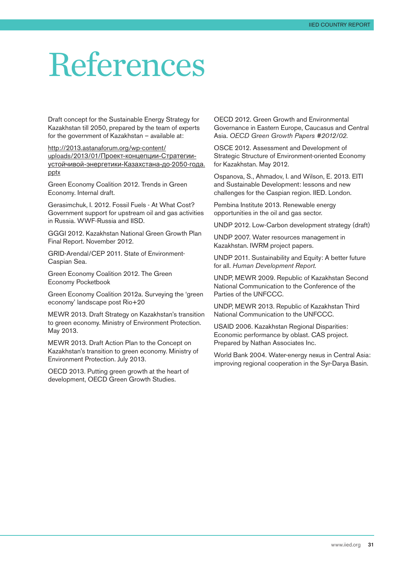## References

Draft concept for the Sustainable Energy Strategy for Kazakhstan till 2050, prepared by the team of experts for the government of Kazakhstan – available at:

[http://2013.astanaforum.org/wp-content/](http://2013.astanaforum.org/wp-content/uploads/2013/01/<041F><0440><043E><0435><043A><0442>-<043A><043E><043D><0446><0435><043F><0446><0438><0438>-<0421><0442><0440><0430><0442><0435><0433><0438><0438>-<0443><0441><0442><043E><0439><0447><0438><0432><043E><0439>-<044D><043D><0435><0440><0433><0435><0442><0438><043A><0438>-<041A><0430><0437><0430><0445><0441><0442><0430><043D><0430>-<0434><043E>-2050-<0433><043E><0434><0430>.pptx) uploads/2013/01/[Проект-концепции-Стратегии](http://2013.astanaforum.org/wp-content/uploads/2013/01/<041F><0440><043E><0435><043A><0442>-<043A><043E><043D><0446><0435><043F><0446><0438><0438>-<0421><0442><0440><0430><0442><0435><0433><0438><0438>-<0443><0441><0442><043E><0439><0447><0438><0432><043E><0439>-<044D><043D><0435><0440><0433><0435><0442><0438><043A><0438>-<041A><0430><0437><0430><0445><0441><0442><0430><043D><0430>-<0434><043E>-2050-<0433><043E><0434><0430>.pptx)[устойчивой-энергетики-Казахстана-до](http://2013.astanaforum.org/wp-content/uploads/2013/01/<041F><0440><043E><0435><043A><0442>-<043A><043E><043D><0446><0435><043F><0446><0438><0438>-<0421><0442><0440><0430><0442><0435><0433><0438><0438>-<0443><0441><0442><043E><0439><0447><0438><0432><043E><0439>-<044D><043D><0435><0440><0433><0435><0442><0438><043A><0438>-<041A><0430><0437><0430><0445><0441><0442><0430><043D><0430>-<0434><043E>-2050-<0433><043E><0434><0430>.pptx)-2050-года. [pptx](http://2013.astanaforum.org/wp-content/uploads/2013/01/<041F><0440><043E><0435><043A><0442>-<043A><043E><043D><0446><0435><043F><0446><0438><0438>-<0421><0442><0440><0430><0442><0435><0433><0438><0438>-<0443><0441><0442><043E><0439><0447><0438><0432><043E><0439>-<044D><043D><0435><0440><0433><0435><0442><0438><043A><0438>-<041A><0430><0437><0430><0445><0441><0442><0430><043D><0430>-<0434><043E>-2050-<0433><043E><0434><0430>.pptx)

Green Economy Coalition 2012. Trends in Green Economy. Internal draft.

Gerasimchuk, I. 2012. Fossil Fuels - At What Cost? Government support for upstream oil and gas activities in Russia. WWF-Russia and IISD.

GGGI 2012. Kazakhstan National Green Growth Plan Final Report. November 2012.

GRID-Arendal/CEP 2011. State of Environment-Caspian Sea.

Green Economy Coalition 2012. The Green Economy Pocketbook

Green Economy Coalition 2012a. Surveying the 'green economy' landscape post Rio+20

MEWR 2013. Draft Strategy on Kazakhstan's transition to green economy. Ministry of Environment Protection. May 2013.

MEWR 2013. Draft Action Plan to the Concept on Kazakhstan's transition to green economy. Ministry of Environment Protection. July 2013.

OECD 2013. Putting green growth at the heart of development, OECD Green Growth Studies.

OECD 2012. Green Growth and Environmental Governance in Eastern Europe, Caucasus and Central Asia. *OECD Green Growth Papers #2012/02.*

OSCE 2012. Assessment and Development of Strategic Structure of Environment-oriented Economy for Kazakhstan. May 2012.

Ospanova, S., Ahmadov, I. and Wilson, E. 2013. EITI and Sustainable Development: lessons and new challenges for the Caspian region. IIED. London.

Pembina Institute 2013. Renewable energy opportunities in the oil and gas sector.

UNDP 2012. Low-Carbon development strategy (draft)

UNDP 2007. Water resources management in Kazakhstan. IWRM project papers.

UNDP 2011. Sustainability and Equity: A better future for all. *Human Development Report.*

UNDP, MEWR 2009. Republic of Kazakhstan Second National Communication to the Conference of the Parties of the UNFCCC.

UNDP, MEWR 2013. Republic of Kazakhstan Third National Communication to the UNFCCC.

USAID 2006. Kazakhstan Regional Disparities: Economic performance by oblast. CAS project. Prepared by Nathan Associates Inc.

World Bank 2004. Water-energy nexus in Central Asia: improving regional cooperation in the Syr-Darya Basin.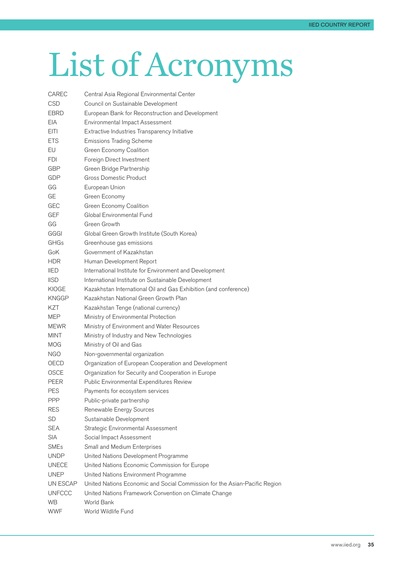# <span id="page-31-0"></span>List of Acronyms

| CAREC         | Central Asia Regional Environmental Center                                 |
|---------------|----------------------------------------------------------------------------|
| <b>CSD</b>    | Council on Sustainable Development                                         |
| EBRD          | European Bank for Reconstruction and Development                           |
| EIA.          | Environmental Impact Assessment                                            |
| <b>EITI</b>   | Extractive Industries Transparency Initiative                              |
| <b>ETS</b>    | <b>Emissions Trading Scheme</b>                                            |
| EU            | Green Economy Coalition                                                    |
| FDI           | Foreign Direct Investment                                                  |
| GBP           | Green Bridge Partnership                                                   |
| GDP           | <b>Gross Domestic Product</b>                                              |
| GG            | European Union                                                             |
| GE            | Green Economy                                                              |
| GEC           | Green Economy Coalition                                                    |
| <b>GEF</b>    | Global Environmental Fund                                                  |
| GG            | Green Growth                                                               |
| GGGI          | Global Green Growth Institute (South Korea)                                |
| GHGs          | Greenhouse gas emissions                                                   |
| GoK           | Government of Kazakhstan                                                   |
| HDR.          | Human Development Report                                                   |
| <b>IIED</b>   | International Institute for Environment and Development                    |
| <b>IISD</b>   | International Institute on Sustainable Development                         |
| KIOGE         | Kazakhstan International Oil and Gas Exhibition (and conference)           |
| KNGGP         | Kazakhstan National Green Growth Plan                                      |
| KZT           | Kazakhstan Tenge (national currency)                                       |
| MEP           | Ministry of Environmental Protection                                       |
| <b>MEWR</b>   | Ministry of Environment and Water Resources                                |
| MINT          | Ministry of Industry and New Technologies                                  |
| MOG           | Ministry of Oil and Gas                                                    |
| NGO           | Non-governmental organization                                              |
| OECD          | Organization of European Cooperation and Development                       |
| <b>OSCE</b>   | Organization for Security and Cooperation in Europe                        |
| PEER          | Public Environmental Expenditures Review                                   |
| <b>PES</b>    | Payments for ecosystem services                                            |
| <b>PPP</b>    | Public-private partnership                                                 |
| <b>RES</b>    | Renewable Energy Sources                                                   |
| <b>SD</b>     | Sustainable Development                                                    |
| <b>SEA</b>    | Strategic Environmental Assessment                                         |
| <b>SIA</b>    | Social Impact Assessment                                                   |
| <b>SMEs</b>   | Small and Medium Enterprises                                               |
| <b>UNDP</b>   | United Nations Development Programme                                       |
| <b>UNECE</b>  | United Nations Economic Commission for Europe                              |
| UNEP          | United Nations Environment Programme                                       |
| UN ESCAP      | United Nations Economic and Social Commission for the Asian-Pacific Region |
| <b>UNFCCC</b> | United Nations Framework Convention on Climate Change                      |
| WB.           | World Bank                                                                 |
| <b>WWF</b>    | World Wildlife Fund                                                        |
|               |                                                                            |